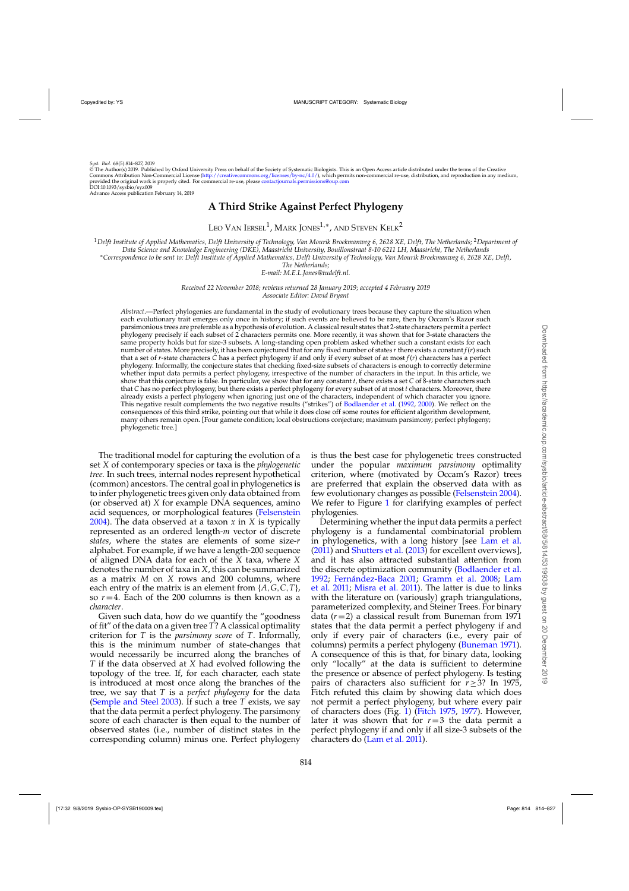$\widetilde{\odot}$  The Author(s) 2019. Published by Oxford University Press on behalf of the Society of Systematic Biologists. This is an Open Access article distributed under the terms of the Creative Commons Attribution Non-Commercial License [\(http://creativecommons.org/licenses/by-nc/4.0/\)](http://creativecommons.org/licenses/by-nc/4.0/), which permits non-commercial re-use, distribution, and reproduction in any medium, provided the original work is properly cited. For commercial re-use, please [contactjournals.permissions@oup.com](mailto:contactjournals.permissions@oup.com) DOI:10.1093/sysbio/syz009

Advance Access publication February 14, 2019

# **A Third Strike Against Perfect Phylogeny**

LEO VAN IERSEL<sup>1</sup>, MARK JONES<sup>1,\*</sup>, AND STEVEN KELK<sup>2</sup>

<sup>1</sup>*Delft Institute of Applied Mathematics, Delft University of Technology, Van Mourik Broekmanweg 6, 2628 XE, Delft, The Netherlands;* <sup>2</sup>*Department of*

\*Correspondence to be sent to: Delft Institute of Applied Mathematics, Delft University of Technology, Van Mourik Broekmanweg 6, 2628 XE, Delft,

*The Netherlands;*

*E-mail: M.E.L.Jones@tudelft.nl.*

*Received 22 November 2018; reviews returned 28 January 2019; accepted 4 February 2019 Associate Editor: David Bryant*

*Abstract*.—Perfect phylogenies are fundamental in the study of evolutionary trees because they capture the situation when each evolutionary trait emerges only once in history; if such events are believed to be rare, then by Occam's Razor such parsimonious trees are preferable as a hypothesis of evolution. A classical result states that 2-state characters permit a perfect phylogeny precisely if each subset of 2 characters permits one. More recently, it was shown that for 3-state characters the same property holds but for size-3 subsets. A long-standing open problem asked whether such a constant exists for each number of states. More precisely, it has been conjectured that for any fixed number of states *r* there exists a constant *f*(*r*) such that a set of *r*-state characters *C* has a perfect phylogeny if and only if every subset of at most *f*(*r*) characters has a perfect phylogeny. Informally, the conjecture states that checking fixed-size subsets of characters is enough to correctly determine whether input data permits a perfect phylogeny, irrespective of the number of characters in the input. In this article, we show that this conjecture is false. In particular, we show that for any constant *t*, there exists a set *C* of 8-state characters such that *C* has no perfect phylogeny, but there exists a perfect phylogeny for every subset of at most *t* characters. Moreover, there already exists a perfect phylogeny when ignoring just one of the characters, independent of which character you ignore. This negative result complements the two negative results ("strikes") of [Bodlaender et al.](#page-7-0) [\(1992](#page-7-0), [2000\)](#page-7-0). We reflect on the consequences of this third strike, pointing out that while it does close off some routes for efficient algorithm development, many others remain open. [Four gamete condition; local obstructions conjecture; maximum parsimony; perfect phylogeny; phylogenetic tree.]

The traditional model for capturing the evolution of a set *X* of contemporary species or taxa is the *phylogenetic tree.* In such trees, internal nodes represent hypothetical (common) ancestors. The central goal in phylogenetics is to infer phylogenetic trees given only data obtained from (or observed at) *X* for example DNA sequences, amino acid sequences, or morphological features [\(Felsenstein](#page-7-0) [2004](#page-7-0)). The data observed at a taxon *x* in *X* is typically represented as an ordered length-*m* vector of discrete *states*, where the states are elements of some size-*r* alphabet. For example, if we have a length-200 sequence of aligned DNA data for each of the *X* taxa, where *X* denotes the number of taxa in *X*, this can be summarized as a matrix *M* on *X* rows and 200 columns, where each entry of the matrix is an element from {*A*,*G*,*C*,*T*}, so *r*=4. Each of the 200 columns is then known as a *character*.

Given such data, how do we quantify the "goodness of fit" of the data on a given tree *T*? A classical optimality criterion for *T* is the *parsimony score* of *T*. Informally, this is the minimum number of state-changes that would necessarily be incurred along the branches of *T* if the data observed at *X* had evolved following the topology of the tree. If, for each character, each state is introduced at most once along the branches of the tree, we say that *T* is a *perfect phylogeny* for the data [\(Semple and Steel 2003](#page-7-0)). If such a tree *T* exists, we say that the data permit a perfect phylogeny. The parsimony score of each character is then equal to the number of observed states (i.e., number of distinct states in the corresponding column) minus one. Perfect phylogeny

is thus the best case for phylogenetic trees constructed under the popular *maximum parsimony* optimality criterion, where (motivated by Occam's Razor) trees are preferred that explain the observed data with as few evolutionary changes as possible [\(Felsenstein 2004\)](#page-7-0). We refer to Figure [1](#page-1-0) for clarifying examples of perfect phylogenies.

Determining whether the input data permits a perfect phylogeny is a fundamental combinatorial problem in phylogenetics, with a long history [see [Lam et al.](#page-7-0) [\(2011\)](#page-7-0) and [Shutters et al.](#page-7-0) [\(2013](#page-7-0)) for excellent overviews], and it has also attracted substantial attention from the discrete optimization community [\(Bodlaender et al.](#page-7-0) [1992](#page-7-0); [Fernández-Baca 2001;](#page-7-0) [Gramm et al. 2008](#page-7-0); Lam et al. [2011;](#page-7-0) [Misra et al. 2011\)](#page-7-0). The latter is due to links with the literature on (variously) graph triangulations, parameterized complexity, and Steiner Trees. For binary data (*r*=2) a classical result from Buneman from 1971 states that the data permit a perfect phylogeny if and only if every pair of characters (i.e., every pair of columns) permits a perfect phylogeny [\(Buneman 1971\)](#page-7-0). A consequence of this is that, for binary data, looking only "locally" at the data is sufficient to determine the presence or absence of perfect phylogeny. Is testing pairs of characters also sufficient for *r*≥3? In 1975, Fitch refuted this claim by showing data which does not permit a perfect phylogeny, but where every pair of characters does (Fig. [1\)](#page-1-0) [\(Fitch 1975](#page-7-0), [1977](#page-7-0)). However, later it was shown that for  $r=3$  the data permit a perfect phylogeny if and only if all size-3 subsets of the characters do [\(Lam et al. 2011\)](#page-7-0).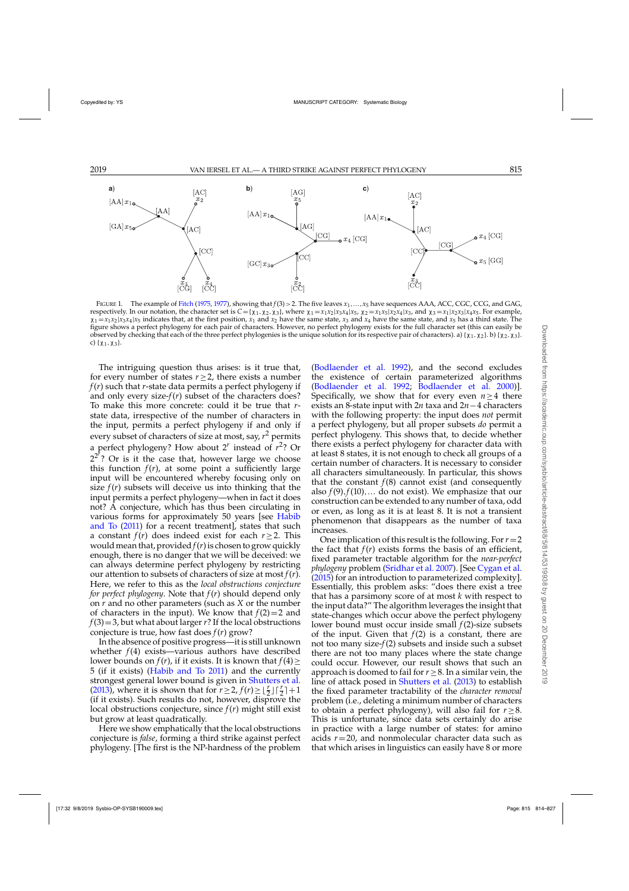<span id="page-1-0"></span>

FIGURE 1. The example of [Fitch](#page-7-0) [\(1975](#page-7-0), [1977](#page-7-0)), showing that  $f(3) > 2$ . The five leaves  $x_1, \ldots, x_5$  have sequences AAA, ACC, CGC, CCG, and GAG, respectively. In our notation, the character set is  $C = \{\chi_1, \chi_2, \chi_3\}$ , where  $\chi_1 = x_1x_2|x_3x_4|x_5$ ,  $\chi_2 = x_1x_5|x_2x_4|x_3$ , and  $\chi_3 = x_1|x_2x_3|x_4x_5$ . For example,  $\chi_1 = x_1 x_2 |x_3 x_4 | x_5$  indicates that, at the first position,  $x_1$  and  $x_2$  have the same state,  $x_3$  and  $x_4$  have the same state, and  $x_5$  has a third state. The figure shows a perfect phylogeny for each pair of characters. However, no perfect phylogeny exists for the full character set (this can easily be observed by checking that each of the three perfect phylogenies is the unique solution for its respective pair of characters). a)  $\{\chi_1, \chi_2\}$ . b)  $\{\chi_2, \chi_3\}$ . c)  $\{\chi_1, \chi_3\}.$ 

The intriguing question thus arises: is it true that, for every number of states  $r \geq 2$ , there exists a number *f*(*r*) such that *r*-state data permits a perfect phylogeny if and only every size-*f*(*r*) subset of the characters does? To make this more concrete: could it be true that *r*state data, irrespective of the number of characters in the input, permits a perfect phylogeny if and only if every subset of characters of size at most, say,  $r^2$  permits a perfect phylogeny? How about  $2^r$  instead of  $r^2$ ? Or  $2^{2^r}$ ? Or is it the case that, however large we choose this function  $f(r)$ , at some point a sufficiently large input will be encountered whereby focusing only on size  $f(r)$  subsets will deceive us into thinking that the input permits a perfect phylogeny—when in fact it does not? A conjecture, which has thus been circulating in variou[s forms for approximately 50 years \[see](#page-7-0) Habib and To [\(2011](#page-7-0)) for a recent treatment], states that such a constant *f*(*r*) does indeed exist for each *r*≥2. This would mean that, provided  $f(r)$  is chosen to grow quickly enough, there is no danger that we will be deceived: we can always determine perfect phylogeny by restricting our attention to subsets of characters of size at most *f*(*r*). Here, we refer to this as the *local obstructions conjecture for perfect phylogeny*. Note that *f*(*r*) should depend only on *r* and no other parameters (such as *X* or the number of characters in the input). We know that  $f(2)=2$  and  $f(3)=3$ , but what about larger *r*? If the local obstructions conjecture is true, how fast does  $f(r)$  grow?

In the absence of positive progress—it is still unknown whether *f*(4) exists—various authors have described lower bounds on *f*(*r*), if it exists. It is known that  $f(4) \ge$ 5 (if it exists) [\(Habib and To 2011\)](#page-7-0) and the currently strongest general lower bound is given in [Shutters et al.](#page-7-0) [\(2013](#page-7-0)), where it is shown that for  $r \ge 2$ ,  $f(r) \ge \lfloor \frac{r}{2} \rfloor \lceil \frac{r}{2} \rceil + 1$ (if it exists). Such results do not, however, disprove the local obstructions conjecture, since *f*(*r*) might still exist but grow at least quadratically.

Here we show emphatically that the local obstructions conjecture is *false*, forming a third strike against perfect phylogeny. [The first is the NP-hardness of the problem

[\(Bodlaender et al. 1992\)](#page-7-0), and the second excludes the existence of certain parameterized algorithms [\(Bodlaender et al. 1992;](#page-7-0) [Bodlaender et al. 2000\)](#page-7-0)]. Specifically, we show that for every even  $n \geq 4$  there exists an 8-state input with 2*n* taxa and 2*n*−4 characters with the following property: the input does *not* permit a perfect phylogeny, but all proper subsets *do* permit a perfect phylogeny. This shows that, to decide whether there exists a perfect phylogeny for character data with at least 8 states, it is not enough to check all groups of a certain number of characters. It is necessary to consider all characters simultaneously. In particular, this shows that the constant *f*(8) cannot exist (and consequently also  $f(9)$ , $f(10)$ ,... do not exist). We emphasize that our construction can be extended to any number of taxa, odd or even, as long as it is at least 8. It is not a transient phenomenon that disappears as the number of taxa increases.

One implication of this result is the following. For*r*=2 the fact that  $f(r)$  exists forms the basis of an efficient, fixed parameter tractable algorithm for the *near-perfect phylogeny* problem [\(Sridhar et al. 2007](#page-7-0)). [See [Cygan et al.](#page-7-0) [\(2015](#page-7-0)) for an introduction to parameterized complexity]. Essentially, this problem asks: "does there exist a tree that has a parsimony score of at most *k* with respect to the input data?" The algorithm leverages the insight that state-changes which occur above the perfect phylogeny lower bound must occur inside small *f*(2)-size subsets of the input. Given that  $f(2)$  is a constant, there are not too many size-*f*(2) subsets and inside such a subset there are not too many places where the state change could occur. However, our result shows that such an approach is doomed to fail for *r*≥8. In a similar vein, the line of attack posed in [Shutters et al.](#page-7-0) [\(2013\)](#page-7-0) to establish the fixed parameter tractability of the *character removal* problem (i.e., deleting a minimum number of characters to obtain a perfect phylogeny), will also fail for *r*≥8. This is unfortunate, since data sets certainly do arise in practice with a large number of states: for amino acids *r*=20, and nonmolecular character data such as that which arises in linguistics can easily have 8 or more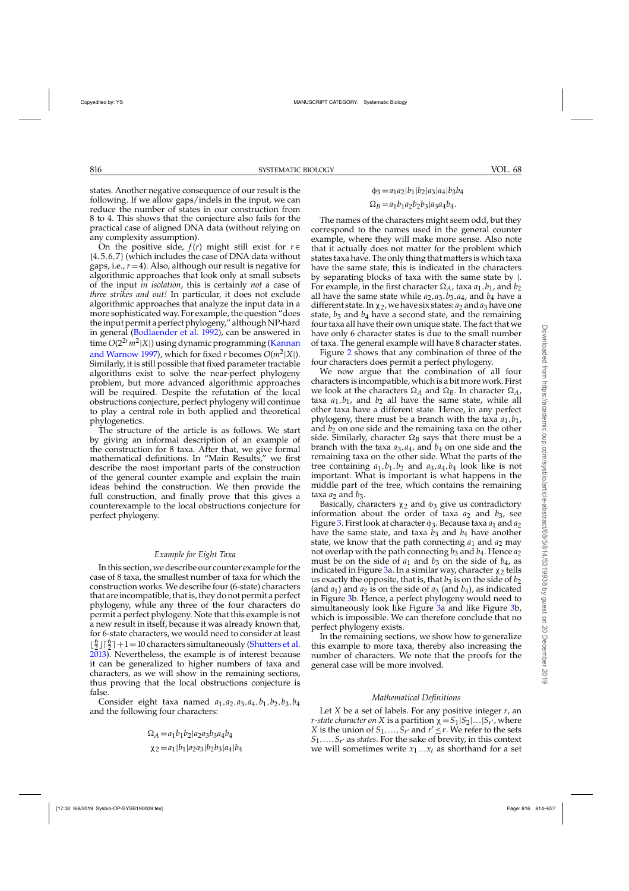states. Another negative consequence of our result is the following. If we allow gaps/indels in the input, we can reduce the number of states in our construction from 8 to 4. This shows that the conjecture also fails for the practical case of aligned DNA data (without relying on

any complexity assumption). On the positive side, *f*(*r*) might still exist for *r*∈ {4,5,6,7} (which includes the case of DNA data without gaps, i.e., *r*=4). Also, although our result is negative for algorithmic approaches that look only at small subsets of the input *in isolation*, this is certainly *not* a case of *three strikes and out!* In particular, it does not exclude algorithmic approaches that analyze the input data in a more sophisticated way. For example, the question "does the input permit a perfect phylogeny," although NP-hard in general [\(Bodlaender et al. 1992](#page-7-0)), can be answered in time  $O(2^{2r}m^2|X|)$  $O(2^{2r}m^2|X|)$  [using](#page-7-0) [dynamic](#page-7-0) [programming](#page-7-0) [\(](#page-7-0)Kannan and Warnow [1997\)](#page-7-0), which for fixed *r* becomes  $O(m^2|X|)$ . Similarly, it is still possible that fixed parameter tractable algorithms exist to solve the near-perfect phylogeny problem, but more advanced algorithmic approaches will be required. Despite the refutation of the local obstructions conjecture, perfect phylogeny will continue to play a central role in both applied and theoretical phylogenetics.

The structure of the article is as follows. We start by giving an informal description of an example of the construction for 8 taxa. After that, we give formal mathematical definitions. In "Main Results," we first describe the most important parts of the construction of the general counter example and explain the main ideas behind the construction. We then provide the full construction, and finally prove that this gives a counterexample to the local obstructions conjecture for perfect phylogeny.

## *Example for Eight Taxa*

In this section, we describe our counter example for the case of 8 taxa, the smallest number of taxa for which the construction works. We describe four (6-state) characters that are incompatible, that is, they do not permit a perfect phylogeny, while any three of the four characters do permit a perfect phylogeny. Note that this example is not a new result in itself, because it was already known that, for 6-state characters, we would need to consider at least  $\lfloor \frac{6}{2} \rfloor \lceil \frac{6}{2} \rceil + 1 = 10$  characters simultaneously [\(Shutters et al.](#page-7-0) [2013\)](#page-7-0). Nevertheless, the example is of interest because it can be generalized to higher numbers of taxa and characters, as we will show in the remaining sections, thus proving that the local obstructions conjecture is false.

Consider eight taxa named *a*1,*a*2,*a*3,*a*4,*b*1,*b*2,*b*3,*b*<sup>4</sup> and the following four characters:

$$
\Omega_A = a_1 b_1 b_2 | a_2 a_3 b_3 a_4 b_4
$$
  

$$
\chi_2 = a_1 | b_1 | a_2 a_3 | b_2 b_3 | a_4 | b_4
$$

$$
\phi_3 = a_1 a_2 |b_1| b_2 |a_3| a_4 |b_3 b_4
$$
  
\n
$$
\Omega_B = a_1 b_1 a_2 b_2 b_3 |a_3 a_4 b_4.
$$

The names of the characters might seem odd, but they correspond to the names used in the general counter example, where they will make more sense. Also note that it actually does not matter for the problem which states taxa have. The only thing that matters is which taxa have the same state, this is indicated in the characters by separating blocks of taxa with the same state by |. For example, in the first character  $\Omega_A$ , taxa  $a_1$ ,  $b_1$ , and  $b_2$ all have the same state while  $a_2$ ,  $a_3$ ,  $b_3$ ,  $a_4$ , and  $b_4$  have a different state. In-2, we have six states: *a*2 and*a*3 have one state,  $b_3$  and  $b_4$  have a second state, and the remaining four taxa all have their own unique state. The fact that we have only 6 character states is due to the small number of taxa. The general example will have 8 character states.

Figure [2](#page-3-0) shows that any combination of three of the four characters does permit a perfect phylogeny.

We now argue that the combination of all four characters is incompatible, which is a bit more work. First we look at the characters  $\Omega_A$  and  $\Omega_B$ . In character  $\Omega_A$ , taxa  $a_1$ , $b_1$ , and  $b_2$  all have the same state, while all other taxa have a different state. Hence, in any perfect phylogeny, there must be a branch with the taxa  $a_1$ ,  $b_1$ , and  $b_2$  on one side and the remaining taxa on the other side. Similarly, character  $\Omega_B$  says that there must be a branch with the taxa  $a_3$ ,  $a_4$ , and  $b_4$  on one side and the remaining taxa on the other side. What the parts of the tree containing  $a_1$ ,  $b_1$ ,  $b_2$  and  $a_3$ ,  $a_4$ ,  $b_4$  look like is not important. What is important is what happens in the middle part of the tree, which contains the remaining taxa  $a_2$  and  $b_3$ .

Basically, characters  $\chi_2$  and  $\phi_3$  give us contradictory information about the order of taxa  $a_2$  and  $b_3$ , see Figure [3.](#page-3-0) First look at character  $\phi_3$ . Because taxa  $a_1$  and  $a_2$ have the same state, and taxa  $b_3$  and  $b_4$  have another state, we know that the path connecting *a*1 and *a*2 may not overlap with the path connecting  $b_3$  and  $b_4$ . Hence  $a_2$ must be on the side of  $a_1$  and  $b_3$  on the side of  $b_4$ , as indicated in Figure [3a](#page-3-0). In a similar way, character  $\chi_2$  tells us exactly the opposite, that is, that  $b_3$  is on the side of  $b_2$ (and  $a_1$ ) and  $a_2$  is on the side of  $a_3$  (and  $b_4$ ), as indicated in Figure [3b](#page-3-0). Hence, a perfect phylogeny would need to simultaneously look like Figure [3a](#page-3-0) and like Figure [3b](#page-3-0), which is impossible. We can therefore conclude that no perfect phylogeny exists.

In the remaining sections, we show how to generalize this example to more taxa, thereby also increasing the number of characters. We note that the proofs for the general case will be more involved.

### *Mathematical Definitions*

Let *X* be a set of labels. For any positive integer *r*, an *r*-state character on *X* is a partition  $\chi = S_1|S_2|...|S_{r'}$ , where *X* is the union of  $S_1$ ,..., $\hat{S}_{r'}$  and  $r' \leq r$ . We refer to the sets  $S_1, \ldots, S_{r'}$  as *states*. For the sake of brevity, in this context we will sometimes write  $x_1 \ldots x_t$  as shorthand for a set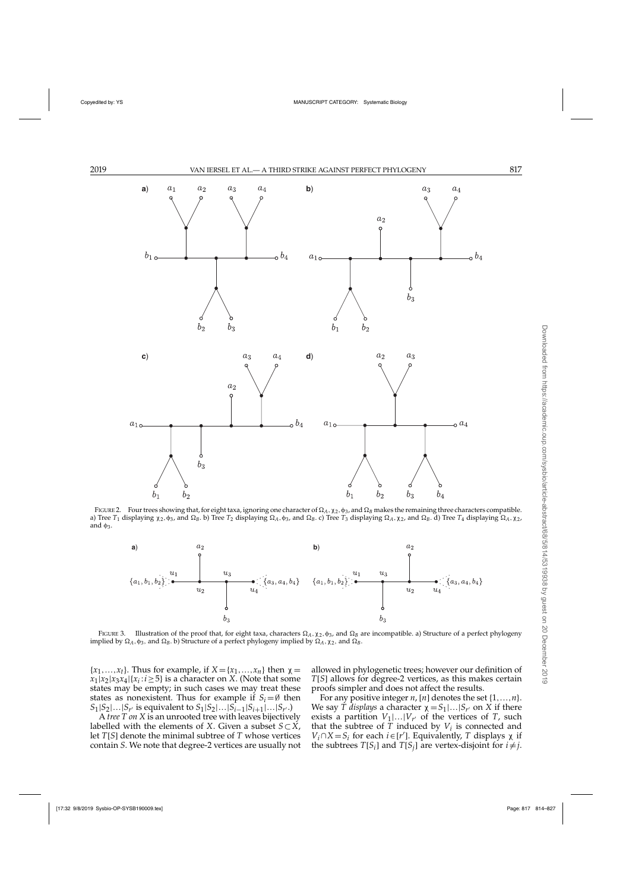<span id="page-3-0"></span>

FiGURE 2. Four trees showing that, for eight taxa, ignoring one character of  $\Omega_A$ ,  $\chi_2$ ,  $\phi_3$ , and  $\Omega_B$  makes the remaining three characters compatible. a) Tree  $T_1$  displaying  $\chi_2$ , $\phi_3$ , and  $\Omega_B$ . b) Tree  $T_2$  displaying  $\Omega_A$ ,  $\phi_3$ , and  $\Omega_B$ . c) Tree  $T_3$  displaying  $\Omega_A$ ,  $\chi_2$ , and  $\Omega_B$ . d) Tree  $T_4$  displaying  $\Omega_A$ ,  $\chi_2$ , and  $\phi_3$ .



FIGURE 3. Illustration of the proof that, for eight taxa, characters  $\Omega_A,\chi_2,\phi_3$ , and  $\Omega_B$  are incompatible. a) Structure of a perfect phylogeny implied by  $\Omega_A$ ,  $\phi_3$ , and  $\Omega_B$ . b) Structure of a perfect phylogeny implied by  $\Omega_A$ ,  $\chi_2$ , and  $\Omega_B$ .

 ${x_1, \ldots, x_t}$ . Thus for example, if  $X = {x_1, \ldots, x_n}$  then  $\chi =$  $x_1|x_2|x_3x_4|\{x_i:i\geq 5\}$  is a character on *X*. (Note that some states may be empty; in such cases we may treat these states as nonexistent. Thus for example if  $S_i = \emptyset$  then *S*<sub>1</sub>|*S*<sub>2</sub>|...|*S*<sub>*r'*</sub> is equivalent to *S*<sub>1</sub>|*S*<sub>2</sub>|...|*S*<sub>*i*−1</sub>|*S*<sub>*i*+1</sub>|...|*S*<sub>*r'*</sub>.)

A *tree T on X* is an unrooted tree with leaves bijectively labelled with the elements of *X*. Given a subset *S*⊂*X*, let *T*[*S*] denote the minimal subtree of *T* whose vertices contain *S*. We note that degree-2 vertices are usually not allowed in phylogenetic trees; however our definition of *T*[*S*] allows for degree-2 vertices, as this makes certain proofs simpler and does not affect the results.

For any positive integer *n*, [*n*] denotes the set {1,...,*n*}. We say *T* displays a character  $\chi = S_1 | \dots | S_{r'}$  on *X* if there exists a partition  $V_1|...|V_{r'}$  of the vertices of *T*, such that the subtree of  $T$  induced by  $V_i$  is connected and  $V_i$ ∩*X* =  $S_i$  for each  $i \in [r']$ . Equivalently, *T* displays  $\chi$  if the subtrees  $T[S_i]$  and  $T[S_j]$  are vertex-disjoint for  $i \neq j$ .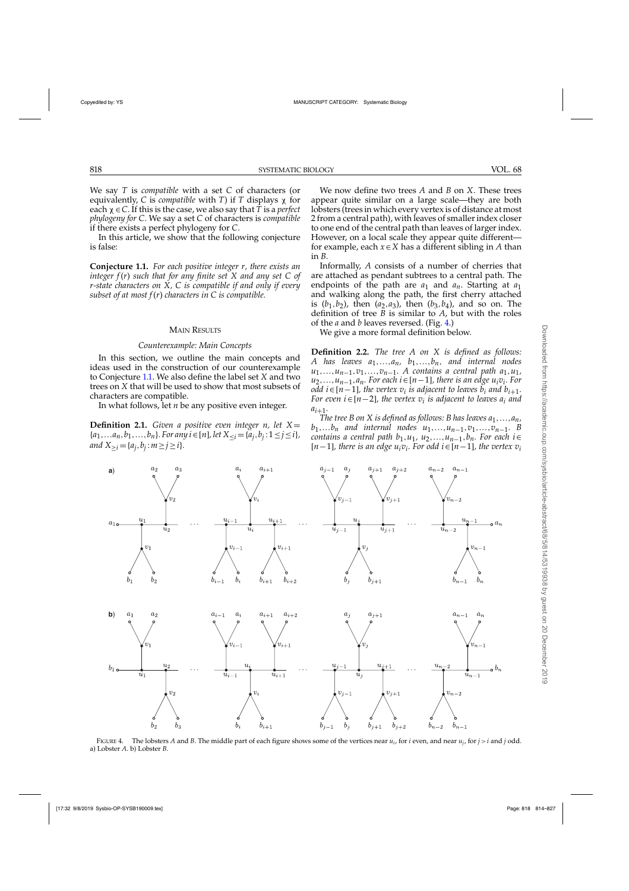<span id="page-4-0"></span>We say *T* is *compatible* with a set *C* of characters (or equivalently, C is *compatible* with T) if T displays  $\chi$  for each  $\chi \in C$ . If this is the case, we also say that  $T$  is a *perfect phylogeny for C*. We say a set *C* of characters is *compatible* if there exists a perfect phylogeny for *C*.

In this article, we show that the following conjecture is false:

**Conjecture 1.1.** *For each positive integer r, there exists an integer f*(*r*) *such that for any finite set X and any set C of r-state characters on X, C is compatible if and only if every subset of at most f*(*r*) *characters in C is compatible.*

#### MAIN RESULTS

#### *Counterexample: Main Concepts*

In this section, we outline the main concepts and ideas used in the construction of our counterexample to Conjecture 1.1. We also define the label set *X* and two trees on *X* that will be used to show that most subsets of characters are compatible.

In what follows, let *n* be any positive even integer.

**Definition 2.1.** *Given a positive even integer n, let X*= {*a*1,...*an*,*b*1,...,*bn*}*. For any i*∈ [*n*]*, let X*≤*<sup>i</sup>* = {*aj*,*bj* :1≤*j*≤*i*}*, and*  $X_{\ge i} = \{a_i, b_i : m \ge j \ge i\}.$ 

We now define two trees *A* and *B* on *X*. These trees appear quite similar on a large scale—they are both lobsters (trees in which every vertex is of distance at most 2 from a central path), with leaves of smaller index closer to one end of the central path than leaves of larger index. However, on a local scale they appear quite different for example, each *x*∈*X* has a different sibling in *A* than in *B*.

Informally, *A* consists of a number of cherries that are attached as pendant subtrees to a central path. The endpoints of the path are  $a_1$  and  $a_n$ . Starting at  $a_1$ and walking along the path, the first cherry attached is  $(b_1, b_2)$ , then  $(a_2, a_3)$ , then  $(b_3, b_4)$ , and so on. The definition of tree *B* is similar to *A*, but with the roles of the *a* and *b* leaves reversed. (Fig. 4.)

We give a more formal definition below.

**Definition 2.2.** *The tree A on X is defined as follows: A has leaves a*1,...,*an, b*1,...,*bn*, *and internal nodes*  $u_1, \ldots, u_{n-1}, v_1, \ldots, v_{n-1}$ . A contains a central path  $a_1, u_1$ , *u*<sub>2</sub>,...,*u*<sub>*n*−1</sub>,*a*<sub>*n*</sub>. For each *i*∈ [*n*−1]*, there is an edge u<sub>i</sub>v<sub>i</sub>. For odd i*∈ [*n*−1]*, the vertex v<sub>i</sub> is adjacent to leaves b<sub>i</sub> and b<sub>i+1</sub>. For even i*∈ [*n*−2]*, the vertex*  $v_i$  *is adjacent to leaves*  $a_i$  *and*  $a_{i+1}$ .

*The tree B on X is defined as follows: B has leaves a*1,...,*an, b*<sub>1</sub>*,...b<sub>n</sub> and internal nodes u*<sub>1</sub>*,...,u*<sub>*n*−1</sub>*,v*<sub>1</sub>*,...,v*<sub>*n*−1</sub>*. B contains a central path b*<sub>1</sub>*, u*<sub>1</sub>*, u*<sub>2</sub>*,..., u*<sub>*n*−1</sub>*, b*<sub>*n*</sub>*. For each i*∈  $[n-1]$ *, there is an edge*  $u_i v_i$ *. For odd i* ∈  $[n-1]$ *, the vertex v<sub>i</sub>* 



FIGURE 4. The lobsters *A* and *B*. The middle part of each figure shows some of the vertices near  $u_i$ , for *i* even, and near  $u_j$ , for *j* > *i* and *j* odd. a) Lobster *A*. b) Lobster *B*.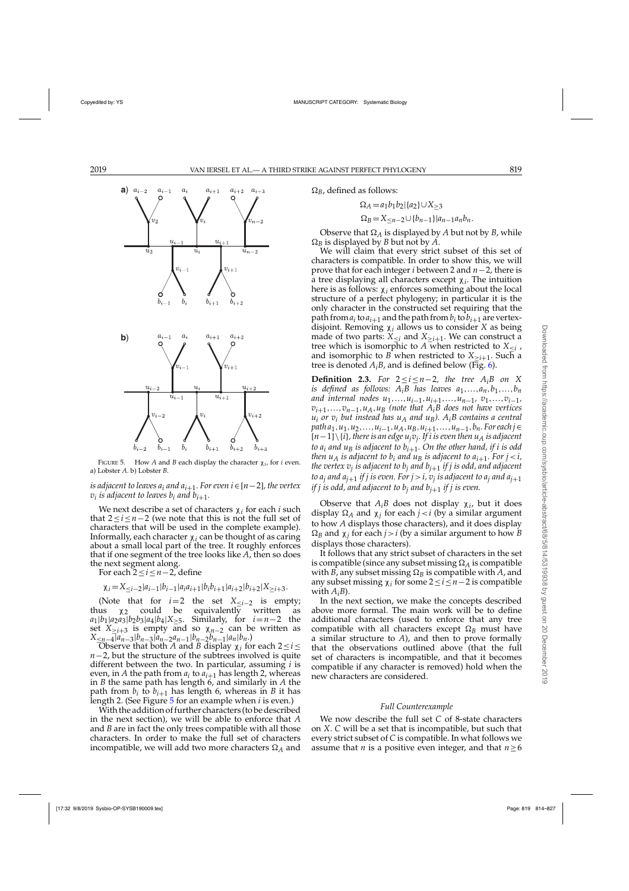<span id="page-5-0"></span>

 $b_{i-2}$  $b_{i-1}$  $b_i$  $\mathfrak{b}_{i+1}$  $b_{i+2}$  $b_{i+3}$ 

FIGURE 5. How A and B each display the character  $\chi_i$ , for *i* even. a) Lobster *A*. b) Lobster *B*.

*is adjacent to leaves a<sub>i</sub> and a*<sub>*i*+1</sub>. For even  $i ∈ [n−2]$ , the vertex  $v_i$  *is adjacent to leaves b<sub>i</sub> and b<sub>i+1</sub>.* 

We next describe a set of characters  $\chi_i$  for each *i* such that 2≤*i*≤*n*−2 (we note that this is not the full set of characters that will be used in the complete example). Informally, each character  $\chi_i$  can be thought of as caring about a small local part of the tree. It roughly enforces that if one segment of the tree looks like *A*, then so does the next segment along.

For each 2≤*i*≤*n*−2, define

$$
\chi_i = X_{\leq i-2} |a_{i-1}| b_{i-1} |a_i a_{i+1}| b_i b_{i+1} |a_{i+2}| b_{i+2} |X_{\geq i+3}.
$$

(Note that for *i*=2 the set  $X_{\le i-2}$  is empty; us  $\chi_2$  could be equivalently written as thus equivalently written  $a_1|b_1|a_2a_3|b_2b_3|a_4|b_4|X_{>5}$ . Similarly, for  $i=n-2$  the set  $X_{\geq i+3}$  is empty and so  $\chi_{n-2}$  can be written as *X*≤*n*−4|*a*<sub>*n*−3</sub>|*b*<sub>*n*−3</sub>|*a*<sub>*n*−2*a*<sub>*n*−1</sub>|*b*<sub>*n*−2</sub>*b*<sub>*n*−1</sub>|*a<sub>n</sub>*|*b<sub>n</sub>*.)</sub>

Observe that both *A* and *B* display  $\chi_i$  for each 2 ≤ *i* ≤ *n*−2, but the structure of the subtrees involved is quite different between the two. In particular, assuming *i* is even, in *A* the path from  $a_i$  to  $a_{i+1}$  has length 2, whereas in *B* the same path has length 6, and similarly in *A* the path from  $b_i$  to  $b_{i+1}$  has length 6, whereas in *B* it has length 2. (See Figure 5 for an example when *i* is even.)

With the addition of further characters (to be described in the next section), we will be able to enforce that *A* and *B* are in fact the only trees compatible with all those characters. In order to make the full set of characters incompatible, we will add two more characters  $\Omega_A$  and

 $\Omega_B$ , defined as follows:

$$
\Omega_A = a_1 b_1 b_2 |\{a_2\} \cup X_{\geq 3}
$$
  
\n
$$
\Omega_B = X_{\leq n-2} \cup \{b_{n-1}\} |a_{n-1} a_n b_n.
$$

Observe that  $\Omega_A$  is displayed by A but not by B, while  $\Omega_B$  is displayed by *B* but not by *A*.

We will claim that every strict subset of this set of characters is compatible. In order to show this, we will prove that for each integer *i* between 2 and *n*−2, there is a tree displaying all characters except  $\chi_i$ . The intuition here is as follows:  $\chi_i$  enforces something about the local structure of a perfect phylogeny; in particular it is the only character in the constructed set requiring that the path from  $a_i$  to  $a_{i+1}$  and the path from  $b_i$  to  $b_{i+1}$  are vertexdisjoint. Removing  $\chi_i$  allows us to consider *X* as being made of two parts:  $X_{\leq i}$  and  $X_{\geq i+1}$ . We can construct a tree which is isomorphic to *A* when restricted to  $X_{\leq i}$ , and isomorphic to *B* when restricted to  $X_{\geq i+1}$ . Such a tree is denoted  $A_iB$ , and is defined below (Fig. [6\)](#page-6-0).

**Definition 2.3.** *For*  $2 \le i \le n-2$ *, the tree A<sub>i</sub>B on X is defined as follows:*  $A_iB$  *has leaves*  $a_1, \ldots, a_n, b_1, \ldots, b_n$ *and internal nodes*  $u_1, \ldots, u_{i-1}, u_{i+1}, \ldots, u_{n-1}, v_1, \ldots, v_{i-1}$ *vi*<sup>+</sup>1,...,*vn*−1,*uA*,*uB (note that AiB does not have vertices*  $u_i$  *or*  $v_i$  *but instead has*  $u_A$  *and*  $u_B$ *).*  $A_iB$  *contains a central path a*1,*u*1,*u*2,...,*ui*<sup>−</sup>1,*uA*,*uB*,*ui*<sup>+</sup>1,...,*un*−1,*bn. For each j*∈  $[n-1] \setminus \{i\}$ *, there is an edge*  $u_jv_j$ *. If i is even then u<sub>A</sub> is adjacent to*  $a_i$  *and*  $u_B$  *is adjacent to*  $b_{i+1}$ *. On the other hand, if i is odd then*  $u_A$  *is adjacent to b<sub>i</sub> and*  $u_B$  *<i>is adjacent to*  $a_{i+1}$ *. For*  $j < i$ *, the vertex vj is adjacent to bj and bj*<sup>+</sup><sup>1</sup> *if j is odd, and adjacent to aj and aj*<sup>+</sup><sup>1</sup> *if j is even. For j*>*i, vj is adjacent to aj and aj*<sup>+</sup><sup>1</sup> *if j is odd, and adjacent to*  $b_i$  *and*  $b_{i+1}$  *if j is even.* 

Observe that  $A_i B$  does not display  $\chi_i$ , but it does display  $\Omega_A$  and  $\chi_j$  for each  $j < i$  (by a similar argument to how *A* displays those characters), and it does display  $\Omega_B$  and  $\chi_j$  for each  $j$  >  $i$  (by a similar argument to how  $B$ displays those characters).

It follows that any strict subset of characters in the set is compatible (since any subset missing  $\Omega_A$  is compatible with *B*, any subset missing  $\Omega_B$  is compatible with *A*, and any subset missing  $\chi_i$  for some 2 ≤ *i* ≤ *n*−2 is compatible with *AiB*).

In the next section, we make the concepts described above more formal. The main work will be to define additional characters (used to enforce that any tree compatible with all characters except  $\Omega_B$  must have a similar structure to *A*), and then to prove formally that the observations outlined above (that the full set of characters is incompatible, and that it becomes compatible if any character is removed) hold when the new characters are considered.

## *Full Counterexample*

We now describe the full set *C* of 8-state characters on *X*. *C* will be a set that is incompatible, but such that every strict subset of *C* is compatible. In what follows we assume that *n* is a positive even integer, and that  $n \geq 6$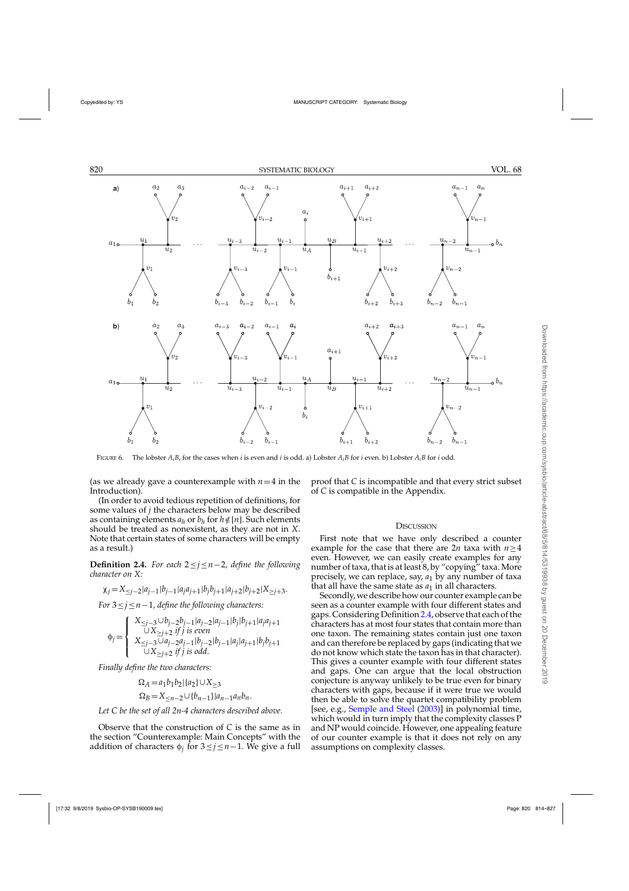<span id="page-6-0"></span>

FIGURE 6. The lobster  $A_iB$ , for the cases when *i* is even and *i* is odd. a) Lobster  $A_iB$  for *i* even. b) Lobster  $A_iB$  for *i* odd.

(as we already gave a counterexample with  $n=4$  in the Introduction).

(In order to avoid tedious repetition of definitions, for some values of *j* the characters below may be described as containing elements  $a_h$  or  $b_h$  for  $h \notin [n]$ . Such elements should be treated as nonexistent, as they are not in *X*. Note that certain states of some characters will be empty as a result.)

**Definition 2.4.** *For each* 2≤*j*≤*n*−2*, define the following character on X:*

$$
\chi_j = X_{\leq j-2} |a_{j-1}| b_{j-1} |a_j a_{j+1}| b_j b_{j+1} |a_{j+2}| b_{j+2} |X_{\geq j+3}.
$$

*For* 3≤*j*≤*n*−1*, define the following characters:*

$$
\phi_j = \begin{cases} X_{\leq j-3} \cup b_{j-2} b_{j-1} |a_{j-2}|a_{j-1}|b_j|b_{j+1}|a_j a_{j+1} \\ \cup X_{\leq j-3} \cup a_{j-2} a_{j-1}|b_{j-2}|b_{j-1}|a_j|a_{j+1}|b_j b_{j+1} \\ \cup X_{\geq j+2} \text{ if } j \text{ is odd.} \end{cases}
$$

*Finally define the two characters:*

$$
\Omega_A = a_1 b_1 b_2 |\{a_2\} \cup X_{\geq 3}
$$
  
\n
$$
\Omega_B = X_{\leq n-2} \cup \{b_{n-1}\} |a_{n-1} a_n b_n.
$$

*Let C be the set of all 2n-4 characters described above.*

Observe that the construction of *C* is the same as in the section "Counterexample: Main Concepts" with the addition of characters  $\phi_i$  for  $3 \leq j \leq n-1$ . We give a full proof that *C* is incompatible and that every strict subset of *C* is compatible in the Appendix.

#### **DISCUSSION**

First note that we have only described a counter example for the case that there are  $2n$  taxa with  $n \geq 4$ even. However, we can easily create examples for any number of taxa, that is at least 8, by "copying" taxa. More precisely, we can replace, say, *a*1 by any number of taxa that all have the same state as  $a_1$  in all characters.

Secondly, we describe how our counter example can be seen as a counter example with four different states and gaps. Considering Definition 2.4, observe that each of the characters has at most four states that contain more than one taxon. The remaining states contain just one taxon and can therefore be replaced by gaps (indicating that we do not know which state the taxon has in that character). This gives a counter example with four different states and gaps. One can argue that the local obstruction conjecture is anyway unlikely to be true even for binary characters with gaps, because if it were true we would then be able to solve the quartet compatibility problem [see, e.g., [Semple and Steel](#page-7-0) [\(2003](#page-7-0))] in polynomial time, which would in turn imply that the complexity classes P and NP would coincide. However, one appealing feature of our counter example is that it does not rely on any assumptions on complexity classes.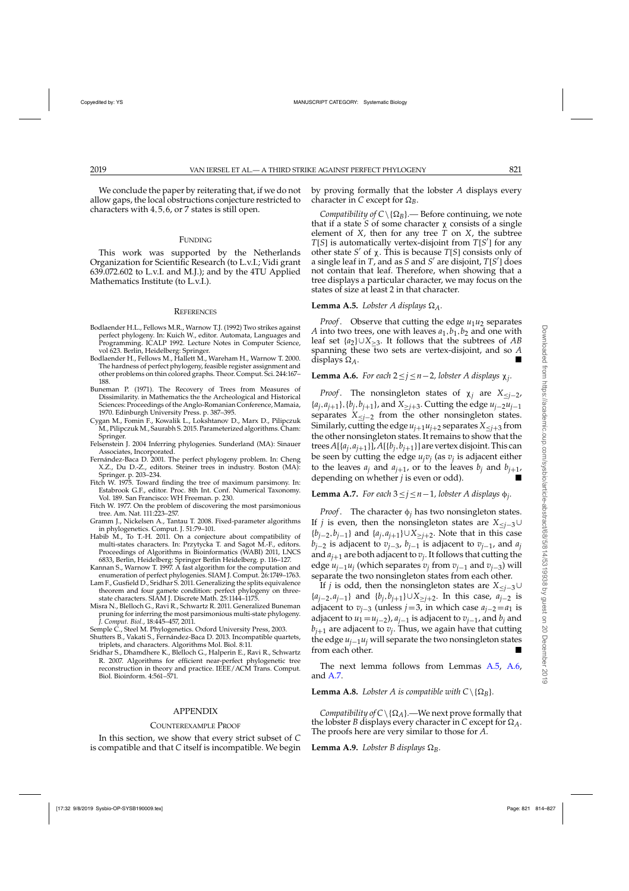<span id="page-7-0"></span>We conclude the paper by reiterating that, if we do not allow gaps, the local obstructions conjecture restricted to characters with 4,5,6, or 7 states is still open.

#### FUNDING

This work was supported by the Netherlands Organization for Scientific Research (to L.v.I.; Vidi grant 639.072.602 to L.v.I. and M.J.); and by the 4TU Applied Mathematics Institute (to L.v.I.).

#### **REFERENCES**

- Bodlaender H.L., Fellows M.R., Warnow T.J. (1992) Two strikes against perfect phylogeny. In: Kuich W., editor. Automata, Languages and Programming. ICALP 1992. Lecture Notes in Computer Science, vol 623. Berlin, Heidelberg: Springer.
- Bodlaender H., Fellows M., Hallett M., Wareham H., Warnow T. 2000. The hardness of perfect phylogeny, feasible register assignment and other problems on thin colored graphs. Theor. Comput. Sci. 244:167– 188.
- Buneman P. (1971). The Recovery of Trees from Measures of Dissimilarity. in Mathematics the the Archeological and Historical Sciences: Proceedings of the Anglo-Romanian Conference, Mamaia, 1970. Edinburgh University Press. p. 387–395.
- Cygan M., Fomin F., Kowalik L., Lokshtanov D., Marx D., Pilipczuk M., Pilipczuk M., Saurabh S. 2015. Parameterized algorithms. Cham: Springer.
- Felsenstein J. 2004 Inferring phylogenies. Sunderland (MA): Sinauer Associates, Incorporated.
- Fernández-Baca D. 2001. The perfect phylogeny problem. In: Cheng X.Z., Du D.-Z., editors. Steiner trees in industry. Boston (MA): Springer. p. 203–234.
- Fitch W. 1975. Toward finding the tree of maximum parsimony. In: Estabrook G.F., editor. Proc. 8th Int. Conf. Numerical Taxonomy. Vol. 189. San Francisco: WH Freeman. p. 230.
- Fitch W. 1977. On the problem of discovering the most parsimonious tree. Am. Nat. 111:223–257.
- Gramm J., Nickelsen A., Tantau T. 2008. Fixed-parameter algorithms in phylogenetics. Comput. J. 51:79–101.
- Habib M., To T.-H. 2011. On a conjecture about compatibility of multi-states characters. In: Przytycka T. and Sagot M.-F., editors. Proceedings of Algorithms in Bioinformatics (WABI) 2011, LNCS 6833, Berlin, Heidelberg: Springer Berlin Heidelberg. p. 116–127.
- Kannan S., Warnow T. 1997. A fast algorithm for the computation and enumeration of perfect phylogenies. SIAM J. Comput. 26:1749–1763.
- Lam F., Gusfield D., Sridhar S. 2011. Generalizing the splits equivalence theorem and four gamete condition: perfect phylogeny on threestate characters. SIAM J. Discrete Math. 25:1144–1175.
- Misra N., Blelloch G., Ravi R., Schwartz R. 2011. Generalized Buneman pruning for inferring the most parsimonious multi-state phylogeny. *J. Comput. Biol.*, 18:445–457, 2011.
- Semple C., Steel M. Phylogenetics. Oxford University Press, 2003.
- Shutters B., Vakati S., Fernández-Baca D. 2013. Incompatible quartets, triplets, and characters. Algorithms Mol. Biol. 8:11.
- Sridhar S., Dhamdhere K., Blelloch G., Halperin E., Ravi R., Schwartz R. 2007. Algorithms for efficient near-perfect phylogenetic tree reconstruction in theory and practice. IEEE/ACM Trans. Comput. Biol. Bioinform. 4:561–571.

#### APPENDIX

#### COUNTEREXAMPLE PROOF

In this section, we show that every strict subset of *C* is compatible and that *C* itself is incompatible. We begin by proving formally that the lobster *A* displays every character in *C* except for  $\Omega_B$ .

*Compatibility of*  $C \setminus \{ \Omega_R \}$ .— Before continuing, we note that if a state S of some character  $\chi$  consists of a single element of *X*, then for any tree *T* on *X*, the subtree *T*[*S*] is automatically vertex-disjoint from *T*[*S* ] for any other state *S'* of  $\chi$ . This is because *T*[*S*] consists only of a single leaf in  $T$ , and as  $S$  and  $S'$  are disjoint,  $T[S']$  does not contain that leaf. Therefore, when showing that a tree displays a particular character, we may focus on the states of size at least 2 in that character.

#### **Lemma A.5.** *Lobster A displays*  $\Omega_A$ *.*

*Proof*. Observe that cutting the edge  $u_1u_2$  separates *A* into two trees, one with leaves  $a_1$ ,  $b_1$ ,  $b_2$  and one with leaf set {*a*2}∪*X*≥3. It follows that the subtrees of *AB* spanning these two sets are vertex-disjoint, and so *A* displays  $\Omega_A$ .

## **Lemma A.6.** *For each*  $2 \leq j \leq n-2$ *, lobster A displays*  $\chi_j$ *.*

*Proof* . The nonsingleton states of  $\chi_j$  are  $X_{\leq j-2}$ , {*aj*,*aj*<sup>+</sup>1},{*bj*,*bj*<sup>+</sup>1}, and *X*≥*j*<sup>+</sup>3. Cutting the edge *uj*<sup>−</sup>2*uj*<sup>−</sup><sup>1</sup> separates  $X_{\leq i-2}$  from the other nonsingleton states. Similarly, cutting the edge  $u_{i+1}u_{i+2}$  separates  $X_{\leq i+3}$  from the other nonsingleton states. It remains to show that the trees  $A[\{a_j, a_{j+1}\}]$ ,  $A[\{b_j, b_{j+1}\}]$  are vertex disjoint. This can be seen by cutting the edge  $u_jv_j$  (as  $v_j$  is adjacent either to the leaves  $a_j$  and  $a_{j+1}$ , or to the leaves  $b_j$  and  $b_{j+1}$ , depending on whether *j* is even or odd). -

## **Lemma A.7.** *For each*  $3 \leq j \leq n-1$ *, lobster A displays*  $\phi_i$ *.*

*Proof*. The character  $\phi$ *<sub>i</sub>* has two nonsingleton states. If *j* is even, then the nonsingleton states are *X*≤*j*−3∪ {*bj*<sup>−</sup>2,*bj*<sup>−</sup>1} and {*aj*,*aj*<sup>+</sup>1}∪*X*≥*j*<sup>+</sup>2. Note that in this case *bj*<sup>−</sup><sup>2</sup> is adjacent to *vj*−3, *bj*<sup>−</sup><sup>1</sup> is adjacent to *vj*−1, and *aj* and  $a_{i+1}$  are both adjacent to  $v_i$ . It follows that cutting the edge  $u_{i-1}u_i$  (which separates  $v_i$  from  $v_{i-1}$  and  $v_{i-3}$ ) will separate the two nonsingleton states from each other.

If *j* is odd, then the nonsingleton states are *X*≤*j*−3∪ {*aj*<sup>−</sup>2,*aj*<sup>−</sup>1} and {*bj*,*bj*<sup>+</sup>1}∪*X*≥*j*<sup>+</sup>2. In this case, *aj*<sup>−</sup><sup>2</sup> is adjacent to  $v_{j-3}$  (unless *j* = 3, in which case  $a_{j-2} = a_1$  is adjacent to  $u_1 = u_{j-2}$ ),  $a_{j-1}$  is adjacent to  $v_{j-1}$ , and  $b_j$  and  $b_{i+1}$  are adjacent to  $v_i$ . Thus, we again have that cutting the edge *uj*<sup>−</sup>1*uj* will separate the two nonsingleton states from each other.

The next lemma follows from Lemmas A.5, A.6, and A.7.

**Lemma A.8.** *Lobster A is compatible with*  $C \setminus \{ \Omega_B \}$ *.* 

*Compatibility of*  $C \setminus \{ \Omega_A \}$ *.*—We next prove formally that the lobster *B* displays every character in *C* except for  $\Omega_A$ . The proofs here are very similar to those for *A*.

**Lemma A.9.** *Lobster B displays*  $\Omega_B$ *.*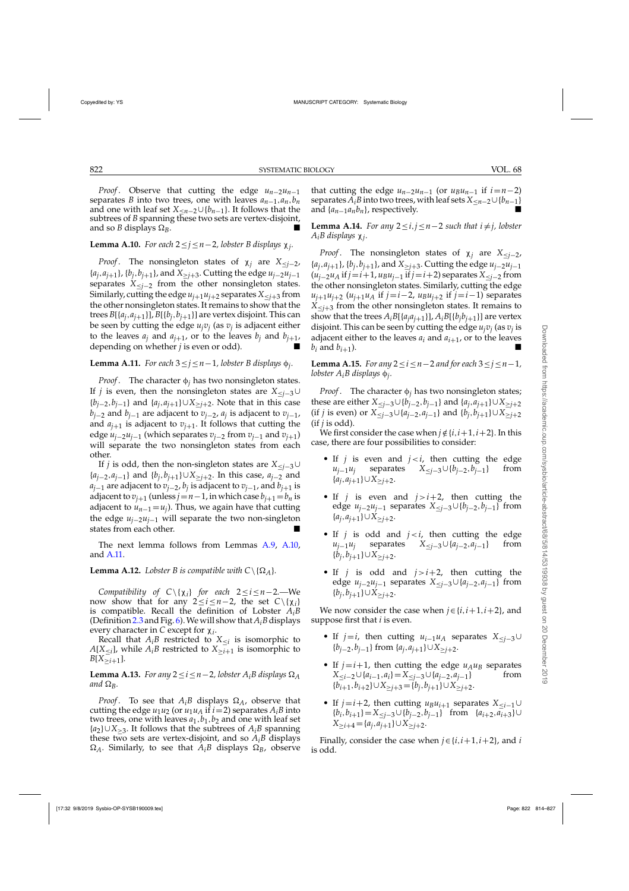<span id="page-8-0"></span>*Proof* . Observe that cutting the edge *un*−2*un*−1 separates *B* into two trees, one with leaves  $a_{n-1}, a_n, b_n$ and one with leaf set *X*≤*n*−2∪{*bn*−1}. It follows that the subtrees of *B* spanning these two sets are vertex-disjoint, and so *B* displays  $\Omega_B$ .

## **Lemma A.10.** *For each*  $2 \leq j \leq n-2$ , *lobster B displays*  $\chi_j$ *.*

*Proof* . The nonsingleton states of  $\chi_j$  are  $X_{\leq j-2}$ , {*aj*,*aj*<sup>+</sup>1}, {*bj*,*bj*<sup>+</sup>1}, and *X*≥*j*<sup>+</sup>3. Cutting the edge *uj*<sup>−</sup>2*uj*<sup>−</sup><sup>1</sup> separates *X*<sub>≤*j*−2</sub> from the other nonsingleton states. Similarly, cutting the edge  $u_{j+1}u_{j+2}$  separates  $X_{< j+3}$  from the other nonsingleton states. It remains to show that the trees  $B[\{a_i, a_{i+1}\}]$ ,  $B[\{b_i, b_{i+1}\}]$  are vertex disjoint. This can be seen by cutting the edge  $u_jv_j$  (as  $v_j$  is adjacent either to the leaves  $a_i$  and  $a_{i+1}$ , or to the leaves  $b_i$  and  $b_{i+1}$ , depending on whether *j* is even or odd). -

## **Lemma A.11.** *For each*  $3 ≤ *j* ≤ *n*−1$ *, lobster B displays*  $φ<sub>*j*</sub>$ *.*

*Proof*. The character  $\phi_j$  has two nonsingleton states. If *j* is even, then the nonsingleton states are  $X \leq i-3 \cup$ {*bj*<sup>−</sup>2,*bj*<sup>−</sup>1} and {*aj*,*aj*<sup>+</sup>1}∪*X*≥*j*<sup>+</sup>2. Note that in this case *b*<sub>*j*−2</sub> and *b*<sub>*j*−1</sub> are adjacent to *v*<sub>*j*−2</sub>, *a*<sub>*i*</sub> is adjacent to *v*<sub>*j*−1</sub>, and  $a_{j+1}$  is adjacent to  $v_{j+1}$ . It follows that cutting the edge  $u_{i-2}u_{i-1}$  (which separates  $v_{i-2}$  from  $v_{i-1}$  and  $v_{i+1}$ ) will separate the two nonsingleton states from each other.

If *j* is odd, then the non-singleton states are *X*≤*j*−3∪ {*aj*<sup>−</sup>2,*aj*<sup>−</sup>1} and {*bj*,*bj*<sup>+</sup>1}∪*X*≥*j*<sup>+</sup>2. In this case, *aj*<sup>−</sup><sup>2</sup> and *aj*<sup>−</sup><sup>1</sup> are adjacent to *vj*−2, *bj* is adjacent to *vj*−1, and *bj*<sup>+</sup><sup>1</sup> is adjacent to  $v_{j+1}$  (unless  $j = n-1$ , in which case  $b_{j+1} = b_n$  is adjacent to  $u_{n-1} = u_i$ ). Thus, we again have that cutting the edge *uj*<sup>−</sup>2*uj*<sup>−</sup><sup>1</sup> will separate the two non-singleton states from each other.

The next lemma follows from Lemmas [A.9,](#page-7-0) A.10, and A.11.

### **Lemma A.12.** *Lobster B is compatible with*  $C \setminus \{ \Omega_A \}$ *.*

*Compatibility of C* $\setminus \{ \chi_i \}$  *for each* 2≤*i*≤*n*−2*.*—We now show that for any 2≤*i*≤*n*−2, the set  $C \setminus \{ \chi_i \}$ is compatible. Recall the definition of Lobster *AiB* (Definition [2.3](#page-5-0) and Fig. [6\)](#page-6-0). We will show that  $A_i$ B displays every character in *C* except for  $\chi_i$ .

Recall that  $A_iB$  restricted to  $X_{\leq i}$  is isomorphic to  $A[X_{\leq i}]$ , while  $A_iB$  restricted to  $X_{\geq i+1}$  is isomorphic to *B*[ $X_{\geq i+1}$ ].

**Lemma A.13.** *For any* 2 ≤ *i* ≤ *n*−2*, lobster A<sub>i</sub>B displays*  $Ω$ <sup>*A*</sup> *and*  $\Omega_B$ .

*Proof*. To see that  $A_iB$  displays  $\Omega_A$ , observe that cutting the edge  $u_1u_2$  (or  $u_1u_A$  if  $i=2$ ) separates  $A_iB$  into two trees, one with leaves  $a_1$ ,  $b_1$ ,  $b_2$  and one with leaf set {*a*2}∪*X*≥3. It follows that the subtrees of *AiB* spanning these two sets are vertex-disjoint, and so  $A_i B$  displays  $\Omega_A$ . Similarly, to see that  $A_iB$  displays  $\Omega_B$ , observe that cutting the edge  $u_{n-2}u_{n-1}$  (or  $u_{B}u_{n-1}$  if  $i=n-2$ ) separates  $\tilde{A}_i B$  into two trees, with leaf sets  $X_{\leq n-2} \cup \{b_{n-1}\}$ and  $\{a_{n-1}a_nb_n\}$ , respectively.

**Lemma A.14.** *For any*  $2 \le i, j \le n-2$  *such that i≠j, lobster*  $A_i B$  displays  $\chi_j$ .

*Proof* . The nonsingleton states of  $\chi_j$  are  $X_{\leq j-2}$ , {*aj*,*aj*<sup>+</sup>1}, {*bj*,*bj*<sup>+</sup>1}, and *X*≥*j*<sup>+</sup>3. Cutting the edge *uj*<sup>−</sup>2*uj*<sup>−</sup><sup>1</sup>  $(u<sub>j</sub>−2u<sub>A</sub>$  if  $j = i+1$ ,  $u<sub>B</sub>u<sub>j</sub>−1$  if  $j = i+2$ ) separates  $X<sub>≤j−2</sub>$  from the other nonsingleton states. Similarly, cutting the edge *u*<sub>*i*+1</sub>*u*<sub>*i*+2</sub> (*u*<sub>*i*+1</sub>*u*<sub>*A*</sub> if *j* = *i*−2, *u<sub>B</sub>u*<sub>*i*+2</sub> if *j* = *i*−1) separates *X*≤*j*+<sup>3</sup> from the other nonsingleton states. It remains to show that the trees  $A_i B[\{a_j a_{j+1}\}]$ ,  $A_i B[\{b_j b_{j+1}\}]$  are vertex disjoint. This can be seen by cutting the edge  $u_jv_j$  (as  $v_j$  is adjacent either to the leaves  $a_i$  and  $a_{i+1}$ , or to the leaves  $b_i$  and  $b_{i+1}$ ).

**Lemma A.15.** *For any*  $2 \le i \le n-2$  *and for each*  $3 \le j \le n-1$ *, lobster AiB displays j.*

*Proof*. The character  $\phi$ *<sub>i</sub>* has two nonsingleton states; these are either *X*<sub>≤*j*−3</sub>∪{*b*<sub>*j*−2</sub>,*b*<sub>*j*−1</sub>} and {*a<sub>j</sub>*,*a*<sub>*j*+1</sub>}∪*X*<sub>≥*j*+2</sub> (if *j* is even) or  $X_{\leq i-3} \cup \{a_{i-2}, a_{i-1}\}\$  and  $\{b_i, b_{i+1}\} \cup X_{\geq i+2}$ (if *j* is odd).

We first consider the case when  $j \notin \{i, i+1, i+2\}$ . In this case, there are four possibilities to consider:

- If *j* is even and *j*<*i*, then cutting the edge *uj*<sup>−</sup>1*uj* separates *X*≤*j*−3∪{*bj*<sup>−</sup>2,*bj*<sup>−</sup>1} from {*aj*,*aj*<sup>+</sup>1}∪*X*≥*j*<sup>+</sup>2.
- If *j* is even and *j*>*i*+2, then cutting the edge  $u_{j-2}u_{j-1}$  separates  $X_{\leq j-3} \cup \{b_{j-2}, b_{j-1}\}\$  from {*aj*,*aj*<sup>+</sup>1}∪*X*≥*j*<sup>+</sup>2.
- If *j* is odd and *j*<*i*, then cutting the edge *uj*<sup>−</sup>1*uj* separates *X*≤*j*−3∪{*aj*<sup>−</sup>2,*aj*<sup>−</sup>1} from {*bj*,*bj*<sup>+</sup>1}∪*X*≥*j*<sup>+</sup>2.
- If *j* is odd and *j*>*i*+2, then cutting the edge *uj*<sup>−</sup>2*uj*<sup>−</sup><sup>1</sup> separates *X*≤*j*−3∪{*aj*<sup>−</sup>2,*aj*<sup>−</sup>1} from {*bj*,*bj*<sup>+</sup>1}∪*X*≥*j*<sup>+</sup>2.

We now consider the case when  $j \in \{i, i+1, i+2\}$ , and suppose first that *i* is even.

- If *j*=*i*, then cutting  $u_{i-1}u_A$  separates  $X_{\leq i-3}\cup$ {*bj*<sup>−</sup>2,*bj*<sup>−</sup>1} from {*aj*,*aj*<sup>+</sup>1}∪*X*≥*j*<sup>+</sup>2.
- If  $j=i+1$ , then cutting the edge  $u_A u_B$  separates  $X_{\leq i-2} \cup \{a_{i-1}, a_i\} = X_{\leq i-3} \cup \{a_{i-2}, a_{i-1}\}\$  from *X*<sub>≤*i*−2</sub>∪{*a<sub>i−1</sub>,a<sub>i</sub>*}=*X*<sub>≤*j*−3</sub>∪{*a<sub>j−2</sub>,a<sub>j−1</sub>}* {*bi*<sup>+</sup>1,*bi*<sup>+</sup>2}∪*X*≥*j*+<sup>3</sup> = {*bj*,*bj*<sup>+</sup>1}∪*X*≥*j*<sup>+</sup>2.
- If *j*=*i*+2, then cutting  $u_B u_{i+1}$  separates  $X_{\leq i-1} \cup$ {*bi*,*bi*<sup>+</sup>1}=*X*≤*j*−3∪{*bj*<sup>−</sup>2,*bj*<sup>−</sup>1} from {*ai*<sup>+</sup>2,*ai*<sup>+</sup>3}∪ *X*≥*i*+4 = { $a_j$ , $a_{j+1}$ }∪*X*≥*j*+2.

Finally, consider the case when  $j \in \{i, i+1, i+2\}$ , and  $i$ is odd.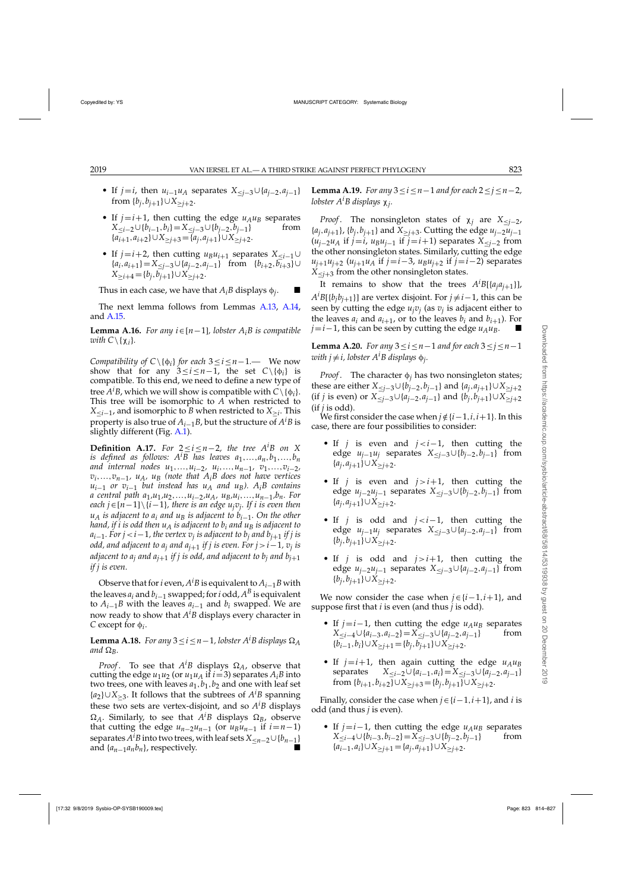- <span id="page-9-0"></span>• If *j*=*i*, then  $u_{i-1}u_A$  separates  $X_{\leq i-3} \cup \{a_{i-2}, a_{i-1}\}\$ from  ${b_i, b_{i+1}} ∪ X_{\ge i+2}$ .
- If  $j=i+1$ , then cutting the edge  $u_A u_B$  separates  $X_{\leq i-2} \cup \{b_{i-1}, b_i\} = X_{\leq i-3} \cup \{b_{i-2}, b_{i-1}\}\$  from *X*<sub>≤*i*−2</sub>∪{*b<sub>i−1</sub>, b<sub>i</sub>*}=*X*<sub>≤*i*−3</sub>∪{*b<sub>j−2</sub>, b<sub>j−1</sub>}* {*ai*<sup>+</sup>1,*ai*<sup>+</sup>2}∪*X*≥*j*+<sup>3</sup> = {*aj*,*aj*<sup>+</sup>1}∪*X*≥*j*<sup>+</sup>2.
- If *j*=*i*+2, then cutting  $u_B u_{i+1}$  separates  $X_{\le i-1} \cup$ {*ai*,*ai*<sup>+</sup>1}=*X*≤*j*−3∪{*aj*<sup>−</sup>2,*aj*<sup>−</sup>1} from {*bi*<sup>+</sup>2,*bi*<sup>+</sup>3}∪ *X*≥*i*+4 = { $b_j$ ,  $b_{j+1}$ }∪*X*≥*j*+2.

Thus in each case, we have that  $A_iB$  displays  $\phi_i$ .

The next lemma follows from Lemmas [A.13,](#page-8-0) [A.14,](#page-8-0) and [A.15.](#page-8-0)

**Lemma A.16.** *For any i*∈  $[n-1]$ *, lobster A<sub>i</sub>B is compatible* with  $C \setminus \{\chi_i\}$ .

*Compatibility of*  $C \setminus \{\phi_i\}$  *for each*  $3 \le i \le n-1$ *.—* We now show that for any  $3 \le i \le n-1$ , the set  $C \setminus \{ \phi_i \}$  is compatible. To this end, we need to define a new type of tree  $A^i B$ , which we will show is compatible with  $C \setminus \{\phi_i\}.$ This tree will be isomorphic to *A* when restricted to  $X_{\le i-1}$ , and isomorphic to *B* when restricted to  $X_{\ge i}$ . This property is also true of  $A_{i-1}$ B, but the structure of  $A^i$ B is slightly different (Fig. [A.1\)](#page-10-0).

**Definition A.17.** For  $2 \le i \le n-2$ , the tree  $A^iB$  on X *is defined as follows: Ai B has leaves a*1,...,*an*,*b*1,...,*bn and internal nodes u*1,...,*ui*<sup>−</sup>2*, ui*,...,*un*−1*, v*1,...,*vi*<sup>−</sup>2*, vi*,...,*vn*−1*, uA, uB (note that AiB does not have vertices*  $u_{i-1}$  *or*  $v_{i-1}$  *but instead has*  $u_A$  *and*  $u_B$ *).*  $A_iB$  *contains a central path a*1*,u*1*,u*2,...,*ui*<sup>−</sup>2*,uA, uB,ui*,...,*un*−1*,bn. For each j*∈[*n*−1] $\setminus$ {*i*−1}*, there is an edge u<sub>j</sub>v<sub>j</sub>. If <i>i is even then*  $u_A$  *is adjacent to a<sub>i</sub> and u<sub>B</sub> is adjacent to*  $b_{i-1}$ *. On the other hand, if i is odd then uA is adjacent to bi and uB is adjacent to*  $a_{i-1}$ *. For j* < *i* − 1*,* the vertex  $v_i$  *is adjacent to b<sub>i</sub> and b<sub>i+1</sub> if j is odd, and adjacent to aj and aj*<sup>+</sup><sup>1</sup> *if j is even. For j*>*i*−1*, vj is adjacent to a<sub>j</sub> and a<sub>j+1</sub> if j is odd, and adjacent to b<sub>j</sub> and b<sub>j+1</sub> if j is even.*

Observe that for *i* even,  $A^i B$  is equivalent to  $A_{i-1}B$  with the leaves  $a_i$  and  $b_{i-1}$  swapped; for *i* odd,  $A^B$  is equivalent to  $A_{i-1}B$  with the leaves  $a_{i-1}$  and  $b_i$  swapped. We are now ready to show that *Ai B* displays every character in *C* except for  $\phi_i$ .

**Lemma A.18.** *For any* 3≤*i*≤*n*−1*, lobster A<sup>i</sup> B displays <sup>A</sup>* and  $\Omega_R$ .

*Proof*. To see that  $A^iB$  displays  $\Omega_A$ , observe that cutting the edge  $u_1u_2$  (or  $u_1u_A$  if  $i=3$ ) separates  $A_iB$  into two trees, one with leaves  $a_1$ ,  $b_1$ ,  $b_2$  and one with leaf set {*a*2}∪*X*≥3. It follows that the subtrees of *A<sup>i</sup> B* spanning these two sets are vertex-disjoint, and so *Ai B* displays  $\Omega_A$ . Similarly, to see that *A<sup>t</sup>B* displays  $\Omega_B$ , observe that cutting the edge  $u_{n-2}u_{n-1}$  (or  $u_{B}u_{n-1}$  if  $i=n-1$ ) separates *A<sup>i</sup> B* into two trees, with leaf sets *X*≤*n*−2∪{*bn*−1} and  $\{a_{n-1}a_nb_n\}$ , respectively.

**Lemma A.19.** *For any* 3≤*i*≤*n*−1 *and for each* 2≤*j*≤*n*−2*,*  $l$ *obster A<sup>* $i$ *</sup>B displays*  $\chi$ <sub>*j</sub>.*</sub>

*Proof* . The nonsingleton states of  $\chi_j$  are  $X_{\leq j-2}$ , {*aj*,*aj*<sup>+</sup>1}, {*bj*,*bj*<sup>+</sup>1} and *X*≥*j*<sup>+</sup>3. Cutting the edge *uj*<sup>−</sup>2*uj*<sup>−</sup><sup>1</sup> ( $u_{j-2}u_A$  if  $j=i$ ,  $u_Bu_{j-1}$  if  $j=i+1$ ) separates  $X_{\leq j-2}$  from the other nonsingleton states. Similarly, cutting the edge *u*<sub>j+1</sub>*u*<sub>j+2</sub> (*u*<sub>j+1</sub>*u*<sub>A</sub> if *j*=*i*−3, *u<sub>B</sub>u*<sub>j+2</sub> if *j*=*i*−2) separates *X*<*j*+3 from the other nonsingleton states.

It remains to show that the trees  $A^{i}B[\{a_{j}a_{j+1}\}]$ , *A<sup>i</sup>B*[{*b<sub>j</sub>b<sub>j+1</sub>*}] are vertex disjoint. For *j≠i*−1, this can be seen by cutting the edge  $u_jv_j$  (as  $v_j$  is adjacent either to the leaves  $a_i$  and  $a_{i+1}$ , or to the leaves  $b_i$  and  $b_{i+1}$ ). For  $j=i-1$ , this can be seen by cutting the edge  $u_Au_B$ .

**Lemma A.20.** *For any*  $3 \le i \le n-1$  *and for each*  $3 \le j \le n-1$  $with j \neq i$ , lobster  $A^iB$  displays  $\phi_j$ .

*Proof*. The character  $\phi$ *<sub>i</sub>* has two nonsingleton states; these are either *X*<sub>≤*j*−3</sub>∪{*b*<sub>*j*−2</sub>,*b*<sub>*j*−1</sub>} and {*a*<sub>*j*</sub>,*a*<sub>*j*+1</sub>}∪*X*<sub>≥*j*+2</sub> (if *j* is even) or *X*≤*j*−3∪{*aj*<sup>−</sup>2,*aj*<sup>−</sup>1} and {*bj*,*bj*<sup>+</sup>1}∪*X*≥*j*+<sup>2</sup> (if *j* is odd).

We first consider the case when  $j \notin \{i-1, i, i+1\}$ . In this case, there are four possibilities to consider:

- If *j* is even and *j*<*i*−1, then cutting the edge *uj*<sup>−</sup>1*uj* separates *X*≤*j*−3∪{*bj*<sup>−</sup>2,*bj*<sup>−</sup>1} from {*aj*,*aj*<sup>+</sup>1}∪*X*≥*j*<sup>+</sup>2.
- If *j* is even and  $j>i+1$ , then cutting the edge  $u_{j-2}u_{j-1}$  separates  $X_{\leq j-3} \cup \{b_{j-2}, b_{j-1}\}\$  from {*aj*,*aj*<sup>+</sup>1}∪*X*≥*j*<sup>+</sup>2.
- If *j* is odd and *j*<*i*−1, then cutting the edge *uj*<sup>−</sup>1*uj* separates *X*≤*j*−3∪{*aj*<sup>−</sup>2,*aj*<sup>−</sup>1} from {*bj*,*bj*<sup>+</sup>1}∪*X*≥*j*<sup>+</sup>2.
- If *j* is odd and *j*>*i*+1, then cutting the edge *uj*<sup>−</sup>2*uj*<sup>−</sup><sup>1</sup> separates *X*≤*j*−3∪{*aj*<sup>−</sup>2,*aj*<sup>−</sup>1} from {*bj*,*bj*<sup>+</sup>1}∪*X*≥*j*<sup>+</sup>2.

We now consider the case when *j*∈ {*i*−1,*i*+1}, and suppose first that *i* is even (and thus *j* is odd).

- If *j*=*i*−1, then cutting the edge  $u_A u_B$  separates<br> $X_{\le i-4} \cup \{a_{i-3}, a_{i-2}\} = X_{\le i-3} \cup \{a_{i-2}, a_{i-1}\}\$  from *X*<sub>≤*i*−4</sub>∪{*a<sub>i−3</sub>,a*<sub>*i*−2</sub>}=*X*<sub>≤*j*−3</sub>∪{*a<sub>j−2</sub>,a*<sub>*j*−1</sub>} {*bi*<sup>−</sup>1,*bi*}∪*X*≥*j*+<sup>1</sup> = {*bj*,*bj*<sup>+</sup>1}∪*X*≥*j*<sup>+</sup>2.
- If  $j=i+1$ , then again cutting the edge  $u_Au_B$ separates  $X_{\leq i-2} \cup \{a_{i-1}, a_i\} = X_{\leq j-3} \cup \{a_{j-2}, a_{j-1}\}$ from {*bi*<sup>+</sup>1,*bi*<sup>+</sup>2}∪*X*≥*j*+<sup>3</sup> = {*bj*,*bj*<sup>+</sup>1}∪*X*≥*j*<sup>+</sup>2.

Finally, consider the case when *j*∈ {*i*−1,*i*+1}, and *i* is odd (and thus *j* is even).

• If *j*=*i*−1, then cutting the edge  $u_A u_B$  separates  $X_{\leq i-4} \cup \{b_{i-3}, b_{i-2}\} = X_{\leq i-3} \cup \{b_{i-2}, b_{i-1}\}$  from *X*<sub>≤*i*−4</sub>∪{*b<sub>i−3</sub>*, *b<sub>i−2</sub>*}=*X*<sub>≤*j*−3</sub>∪{*b<sub>j−2</sub>*, *b<sub>j−1</sub>*} {*ai*<sup>−</sup>1,*ai*}∪*X*≥*j*+<sup>1</sup> = {*aj*,*aj*<sup>+</sup>1}∪*X*≥*j*<sup>+</sup>2.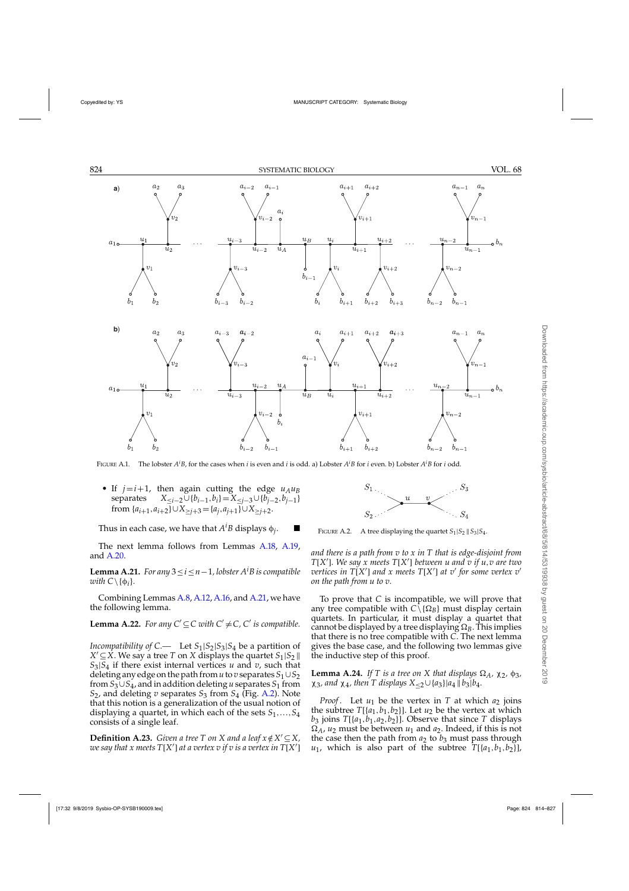<span id="page-10-0"></span>

FIGURE A.1. The lobster  $A^iB$ , for the cases when *i* is even and *i* is odd. a) Lobster  $A^iB$  for *i* even. b) Lobster  $A^iB$  for *i* odd.

• If  $j=i+1$ , then again cutting the edge  $u_A u_B$ <br>separates  $X_{\leq i-2} \cup \{b_{i-1}, b_i\} = X_{\leq i-3} \cup \{b_{i-2}, b_{i-1}\}$  $X_{\leq i-2} \cup \{b_{i-1}, b_i\} = X_{\leq j-3} \cup \{b_{j-2}, b_{j-1}\}$ from {*ai*<sup>+</sup>1,*ai*<sup>+</sup>2}∪*X*≥*j*+<sup>3</sup> = {*aj*,*aj*<sup>+</sup>1}∪*X*≥*j*<sup>+</sup>2.

Thus in each case, we have that  $A^i B$  displays  $\phi_j$ .

The next lemma follows from Lemmas [A.18,](#page-9-0) [A.19,](#page-9-0) and [A.20.](#page-9-0)

**Lemma A.21.** *For any* 3≤*i*≤*n*−1*, lobster A<sup>i</sup> B is compatible with*  $C \setminus \{\phi_i\}$ .

Combining Lemmas [A.8,](#page-7-0) [A.12,](#page-8-0) [A.16,](#page-9-0) and A.21, we have the following lemma.

**Lemma A.22.** *For any*  $C' \subseteq C$  *with*  $C' \neq C$ ,  $C'$  *is compatible.* 

*Incompatibility of C.—* Let *S*1|*S*2|*S*3|*S*<sup>4</sup> be a partition of *X*<sup> $′$ </sup> ⊆ *X*. We say a tree *T* on *X* displays the quartet *S*<sub>1</sub>|*S*<sub>2</sub> ||  $S_3|S_4$  if there exist internal vertices *u* and *v*, such that deleting any edge on the path from *u* to *v* separates  $S_1 \cup S_2$ from  $S_3 \cup S_4$ , and in addition deleting *u* separates  $S_1$  from *S*2, and deleting *v* separates *S*3 from *S*4 (Fig. A.2). Note that this notion is a generalization of the usual notion of displaying a quartet, in which each of the sets *S*1,...,*S*<sup>4</sup> consists of a single leaf.

**Definition A.23.** *Given a tree T on X and a leaf*  $x \notin X' \subseteq X$ , we say that x meets T[X'] at a vertex v if v is a vertex in T[X']



FIGURE A.2. A tree displaying the quartet  $S_1|S_2||S_3|S_4$ .

*and there is a path from v to x in T that is edge-disjoint from T*[*X* ]*. We say x meets T*[*X* ] *between u and v if u*,*v are two vertices in T*[*X* ] *and x meets T*[*X* ] *at v for some vertex v on the path from u to v.*

To prove that *C* is incompatible, we will prove that any tree compatible with  $C \setminus \{ \Omega_B \}$  must display certain quartets. In particular, it must display a quartet that cannot be displayed by a tree displaying  $\Omega_B$ . This implies that there is no tree compatible with *C*. The next lemma gives the base case, and the following two lemmas give the inductive step of this proof.

**Lemma A.24.** If T is a tree on X that displays  $\Omega_A$ ,  $\chi_2$ ,  $\phi_3$ ,  $\chi_3$ , and  $\chi_4$ , then T displays  $X_{\leq 2} \cup \{a_3\} |a_4| |b_3| b_4$ .

*Proof*. Let  $u_1$  be the vertex in *T* at which  $a_2$  joins the subtree  $T[\{a_1, b_1, b_2\}]$ . Let  $u_2$  be the vertex at which  $b_3$  joins *T*[{ $a_1$ , $b_1$ , $a_2$ , $b_2$ }]. Observe that since *T* displays  $\Omega_A$ ,  $u_2$  must be between  $u_1$  and  $a_2$ . Indeed, if this is not the case then the path from  $a_2$  to  $b_3$  must pass through  $u_1$ , which is also part of the subtree  $T[\{a_1, b_1, b_2\}]$ ,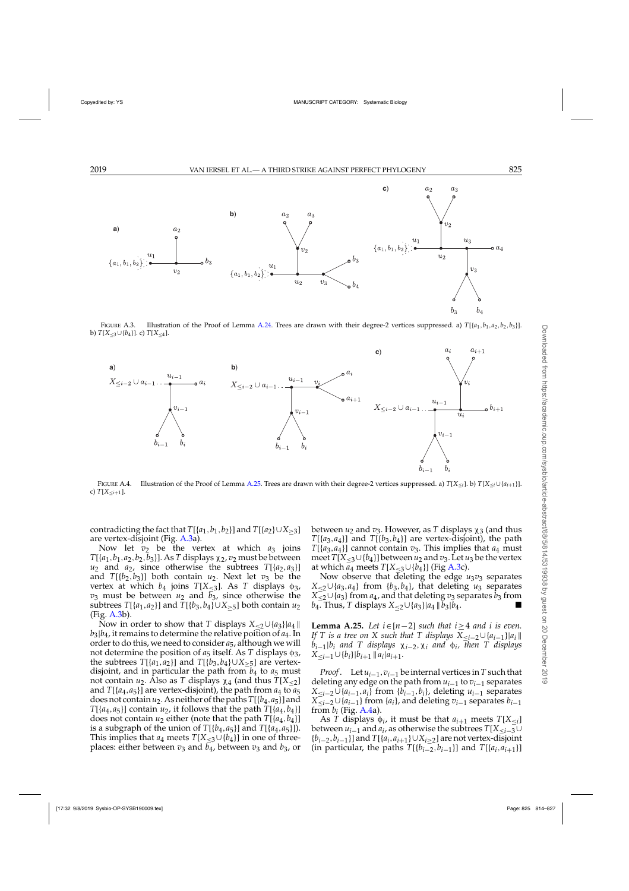<span id="page-11-0"></span>

FIGURE A.3. Illustration of the Proof of Lemma [A.24.](#page-10-0) Trees are drawn with their degree-2 vertices suppressed. a) *T*[{*a*1,*b*1,*a*2,*b*2,*b*3}]. **b**)  $T[X_{\leq 3} \cup \{b_4\}]$ . c)  $T[X_{\leq 4}]$ .



FIGURE A.4. Illustration of the Proof of Lemma A.25. Trees are drawn with their degree-2 vertices suppressed. a) *T*[*X*≤*i*]. b) *T*[*X*≤*i*∪{*ai*<sup>+</sup>1}]. c)  $T[X_{\leq i+1}].$ 

contradicting the fact that  $T[\{a_1, b_1, b_2\}]$  and  $T[\{a_2\} \cup X_{>3}]$ are vertex-disjoint (Fig. A.3a).

Now let  $v_2$  be the vertex at which  $a_3$  joins  $T[\{a_1, b_1, a_2, b_2, b_3\}].$  As  $T$  displays  $\chi_2$ ,  $v_2$  must be between  $u_2$  and  $a_2$ , since otherwise the subtrees  $T[\{a_2, a_3\}]$ and  $T[{b_2,b_3}]$  both contain  $u_2$ . Next let  $v_3$  be the vertex at which  $b_4$  joins  $T[X_{\leq 3}]$ . As *T* displays  $\phi_3$ ,  $v_3$  must be between  $u_2$  and  $\bar{b}_3$ , since otherwise the subtrees *T*[{ $a_1$ , $a_2$ }] and *T*[{ $b_3$ , $b_4$ }∪*X*<sub>>5</sub>] both contain  $u_2$ (Fig. A.3b).

Now in order to show that *T* displays  $X_{\leq 2} \cup \{a_3\} |a_4|$  $b_3|b_4$ , it remains to determine the relative poition of  $a_4$ . In order to do this, we need to consider *a*5, although we will not determine the position of  $a_5$  itself. As *T* displays  $\phi_3$ , the subtrees *T*[{ $a_1$ , $a_2$ }] and *T*[{ $b_3$ , $b_4$ }∪*X*<sub>>5</sub>] are vertexdisjoint, and in particular the path from  $b_4$  to  $a_5$  must not contain  $u_2$ . Also as *T* displays  $\chi_4$  (and thus  $T[X_{\leq 2}]$ and  $T[\{a_4, a_5\}]$  are vertex-disjoint), the path from  $a_4$  to  $a_5$ does not contain*u*2. As neither of the paths*T*[{*b*4,*a*5}] and  $T[\{a_4, a_5\}]$  contain  $u_2$ , it follows that the path  $T[\{a_4, b_4\}]$ does not contain  $u_2$  either (note that the path  $T[\{a_4, b_4\}]$ is a subgraph of the union of  $T[\{b_4, a_5\}]$  and  $T[\{a_4, a_5\}].$ This implies that  $a_4$  meets  $T[X_{<3} \cup \{b_4\}]$  in one of threeplaces: either between  $v_3$  and  $\bar{b_4}$ , between  $v_3$  and  $b_3$ , or

between  $u_2$  and  $v_3$ . However, as T displays  $\chi_3$  (and thus  $T[\{a_3, a_4\}]$  and  $T[\{b_3, b_4\}]$  are vertex-disjoint), the path  $T[\{a_3, a_4\}]$  cannot contain  $v_3$ . This implies that  $a_4$  must meet  $T[X_{\leq 3} \cup \{b_4\}]$  between  $u_2$  and  $v_3$ . Let  $u_3$  be the vertex at which  $a_4$  meets  $T[X_{<3} \cup \{b_4\}]$  (Fig A.3c).

Now observe that deleting the edge  $u_3v_3$  separates *X*≤2∪{*a*3,*a*4} from {*b*3,*b*4}, that deleting *u*<sup>3</sup> separates  $X_{\leq 2} \cup \{a_3\}$  from  $a_4$ , and that deleting  $v_3$  separates  $b_3$  from *b*<sub>4</sub>. Thus, *T* displays  $X_{\leq 2} \cup \{a_3\} | a_4 | | b_3 | b_4$ .

**Lemma A.25.** *Let*  $i \in [n-2]$  *such that*  $i \geq 4$  *and*  $i$  *is even. If* T is a tree on X such that T displays  $X_{\le i-2} \cup \{a_{i-1}\}|a_i\|$ *b*<sub>i−1</sub>|*b*<sub>i</sub> and T displays  $\chi$ <sub>i−2</sub>, $\chi$ <sub>i</sub> and  $\phi$ <sub>i</sub>, then T displays *X*<sub>≤*i*−1</sub>∪{*b<sub>i</sub>*}|*b*<sub>*i*+1</sub>  $\parallel$ *a<sub>i</sub>*| $a_i$ <sub>*i*+1</sub>.

*Proof*. Let *u*<sub>*i*−1</sub>, *v*<sub>*i*−1</sub> be internal vertices in *T* such that deleting any edge on the path from *ui*<sup>−</sup><sup>1</sup> to *vi*<sup>−</sup><sup>1</sup> separates *X*<sub>≤*i*−2</sub>∪{ $a_{i-1}$ , $a_i$ } from { $b_{i-1}$ , $b_i$ }, deleting  $u_{i-1}$  separates  $X_{\leq i-2} \cup \{a_{i-1}\}\$  from  $\{a_i\}$ , and deleting  $v_{i-1}$  separates  $b_{i-1}$ from  $b_i$  (Fig. A.4a).

As *T* displays  $\phi_i$ , it must be that  $a_{i+1}$  meets  $T[X_{\leq i}]$ between  $u_{i-1}$  and  $a_i$ , as otherwise the subtrees  $T[X_{\le i-3} \cup$ {*bi*<sup>−</sup>2,*bi*<sup>−</sup>1}] and *T*[{*ai*,*ai*<sup>+</sup>1}∪*Xi*<sup>≥</sup>2] are not vertex-disjoint (in particular, the paths  $T[\{b_{i-2}, b_{i-1}\}]$  and  $T[\{a_i, a_{i+1}\}]$ 

**a**)

 $b_4$ 

 $b_3$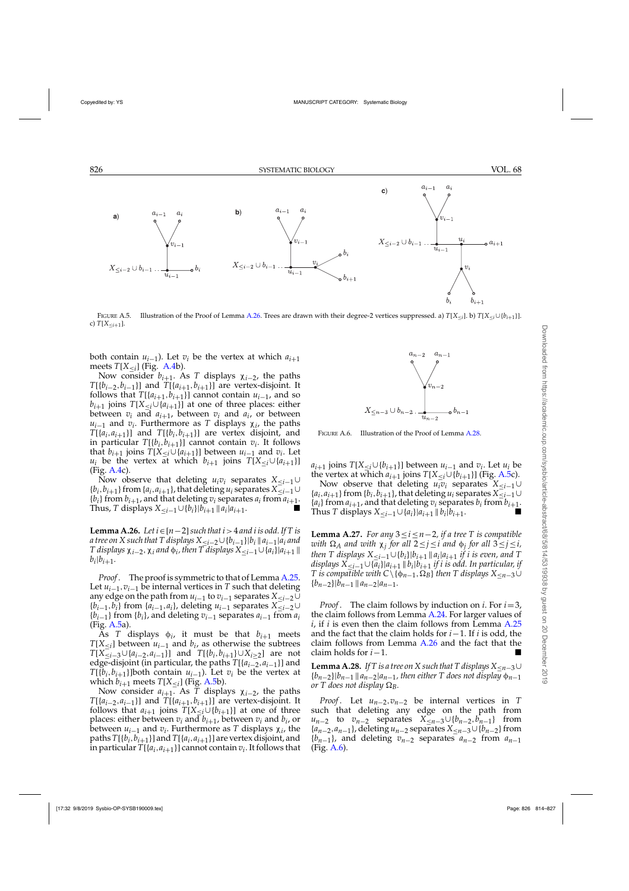<span id="page-12-0"></span>

FIGURE A.5. Illustration of the Proof of Lemma A.26. Trees are drawn with their degree-2 vertices suppressed. a)  $T[X_{\leq i}]$ . b)  $T[X_{\leq i} \cup \{b_{i+1}\}]$ . c)  $T[X_{\leq i+1}].$ 

both contain  $u_{i-1}$ ). Let  $v_i$  be the vertex at which  $a_{i+1}$ meets  $T[X_{\leq i}]$  (Fig. [A.4b](#page-11-0)).

Now consider  $b_{i+1}$ . As *T* displays  $\chi_{i-2}$ , the paths *T*[{*b<sub>i−2</sub>,b<sub>i−1</sub>}*] and *T*[{ $a_{i+1}$ *,b*<sub>*i*+1</sub>}] are vertex-disjoint. It follows that  $T[\{a_{i+1}, b_{i+1}\}]$  cannot contain  $u_{i-1}$ , and so *b*<sub>*i*+1</sub> joins  $T[X_{\leq i} ∪ {a_{i+1}}]$  at one of three places: either between  $v_i$  and  $a_{i+1}$ , between  $v_i$  and  $a_i$ , or between  $u_{i-1}$  and  $v_i$ . Furthermore as *T* displays  $\chi_i$ , the paths *T*[ $\{a_i, a_{i+1}\}$ ] and *T*[ $\{b_i, b_{i+1}\}$ ] are vertex disjoint, and in particular  $T[\{b_i, b_{i+1}\}]$  cannot contain  $v_i$ . It follows that  $b_{i+1}$  joins  $T[X_{< i} \cup \{a_{i+1}\}]$  between  $u_{i-1}$  and  $v_i$ . Let  $u_i$  be the vertex at which  $b_{i+1}$  joins  $T[X_{\le i} \cup \{a_{i+1}\}]$ (Fig. [A.4c](#page-11-0)).

Now observe that deleting  $u_i v_i$  separates  $X_{\leq i-1} \cup$ {*b<sub>i</sub>*, *b*<sub>*i*+1</sub>} from {*a<sub>i</sub>*, *a*<sub>*i*+1</sub>}, that deleting *u*<sub>*i*</sub> separates  $X_{\le i-1}$ ∪  ${b_i}$  from  $b_{i+1}$ , and that deleting  $v_i$  separates  $a_i$  from  $a_{i+1}$ . Thus, *T* displays  $X_{\le i-1} ∪ {b_i} | b_{i+1} ∥ a_i | a_{i+1}$ .

**Lemma A.26.** *Let*  $i \in [n-2]$  *such that*  $i > 4$  *and*  $i$  *is odd.* If *T is a tree on X such that T displays X*≤*i*−2∪{*bi*<sup>−</sup>1}|*bi ai*<sup>−</sup>1|*ai and*  $T$  *displays*  $\chi$ <sub>*i*−2</sub>, $\chi$ *<sub>i</sub>* and  $\phi$ *<sub>i</sub>*, then  $\overline{T}$  *displays*  $X_{\leq i-1} \cup \{a_i\} |a_{i+1}|$  $b_i|b_{i+1}$ .

*Proof* . The proof is symmetric to that of Lemma [A.25.](#page-11-0) Let  $u_{i-1}$ ,  $v_{i-1}$  be internal vertices in *T* such that deleting any edge on the path from  $u_{i-1}$  to  $v_{i-1}$  separates  $X_{\leq i-2}$ ∪ *{b<sub>i−1</sub>,b<sub>i</sub>}* from  $\{a_{i-1}, a_i\}$ , deleting  $u_{i-1}$  separates  $X_{\leq i-2} \cup$ {*bi*<sup>−</sup>1} from {*bi*}, and deleting *vi*<sup>−</sup><sup>1</sup> separates *ai*<sup>−</sup><sup>1</sup> from *ai* (Fig. A.5a).

As *T* displays  $\phi_i$ , it must be that  $b_{i+1}$  meets *T*[*X*<sub>≤*i*</sub>] between  $u_{i-1}$  and  $b_i$ , as otherwise the subtrees *T*[*X*≤*i*−3∪{*a<sub>i</sub>*−2,*a<sub>i−1</sub>*}] and *T*[{*b<sub>i</sub>*,*b<sub>i+1</sub>*}∪*X*<sub>*i*≥2</sub>] are not edge-disjoint (in particular, the paths *T*[{*ai*<sup>−</sup>2,*ai*<sup>−</sup>1}] and *T*[{ $b_i$ , $b_{i+1}$ }]both contain  $u_{i-1}$ }. Let  $v_i$  be the vertex at which  $b_{i+1}$  meets  $T[X_{\leq i}]$  (Fig. A.5b).

Now consider  $a_{i+1}$ . As *T* displays  $\chi_{i-2}$ , the paths *T*[{ $a_{i-2}, a_{i-1}$ }] and *T*[{ $a_{i+1}, b_{i+1}$ }] are vertex-disjoint. It follows that  $a_{i+1}$  joins  $T[X_{\leq i} \cup \{b_{i+1}\}]$  at one of three places: either between  $v_i$  and  $b_{i+1}$ , between  $v_i$  and  $b_i$ , or between  $u_{i-1}$  and  $v_i$ . Furthermore as *T* displays  $\chi_i$ , the paths  $T[\{b_i, b_{i+1}\}]$  and  $T[\{a_i, a_{i+1}\}]$  are vertex disjoint, and in particular  $T[\{a_i, a_{i+1}\}]$  cannot contain  $v_i$ . It follows that



FIGURE A.6. Illustration of the Proof of Lemma A.28.

*a*<sub>*i*+1</sub> joins  $T[X_{< i} ∪ {b_{i+1}}]$  between  $u_{i-1}$  and  $v_i$ . Let  $u_i$  be the vertex at which  $a_{i+1}$  joins  $T[X_{< i} \cup \{b_{i+1}\}]$  (Fig. A.5c).

Now observe that deleting  $u_i v_i$  separates  $X_{\leq i-1} \cup$  ${a_i, a_{i+1}}$  from  ${b_i, b_{i+1}}$ , that deleting  $u_i$  separates  $X_{\le i-1} \cup$  ${a_i}$  from  $a_{i+1}$ , and that deleting  $v_i$  separates  $b_i$  from  $b_{i+1}$ . *Thus <i>T* displays  $X_{\le i-1} ∪ {a_i} |a_{i+1} ∥ b_i|b_{i+1}$ .

**Lemma A.27.** *For any*  $3 ≤ i ≤ n − 2$ *, if a tree T is compatible*  $w$ ith  $\Omega_A$  and with  $\chi_j$  for all  $2 \leq j \leq i$  and  $\phi_j$  for all  $3 \leq j \leq i$ , *then T displays*  $X_{\le i-1} \cup \{b_i\} | b_{i+1} | a_i | a_{i+1}$  *if i is even, and T displays*  $X_{\leq i-1} ∪ {a_i} |a_{i+1} ∥ b_i|b_{i+1}$  *if i is odd. In particular, if T* is compatible with  $C \setminus \{\phi_{n-1}, \Omega_B\}$  then *T* displays  $X_{\leq n-3} \cup$  ${b_{n-2}}|b_{n-1}||a_{n-2}|a_{n-1}.$ 

*Proof*. The claim follows by induction on *i*. For  $i=3$ , the claim follows from Lemma [A.24.](#page-10-0) For larger values of *i*, if *i* is even then the claim follows from Lemma [A.25](#page-11-0) and the fact that the claim holds for *i*−1. If *i* is odd, the claim follows from Lemma A.26 and the fact that the claim holds for  $i-1$ .

**Lemma A.28.** *If* T is a tree on X such that T displays  $X_{\le n-3}$ ∪  ${b_{n-2}}|b_{n-1}||a_{n-2}|a_{n-1}$ , then either T does not display  $\phi_{n-1}$ *or* T does not display  $\Omega_B$ .

*Proof*. Let  $u_{n-2}, v_{n-2}$  be internal vertices in *T* such that deleting any edge on the path from *u*<sub>*n*−2</sub> to *v*<sub>*n*−2</sub> separates  $X_{\le n-3} \cup \{b_{n-2}, b_{n-1}\}$  from *{* $a_{n-2}, a_{n-1}$ }, deleting  $u_{n-2}$  separates  $X_{\leq n-3} \cup \{b_{n-2}\}$  from {*bn*−1}, and deleting *vn*−<sup>2</sup> separates *an*−<sup>2</sup> from *an*−<sup>1</sup> (Fig. A.6).